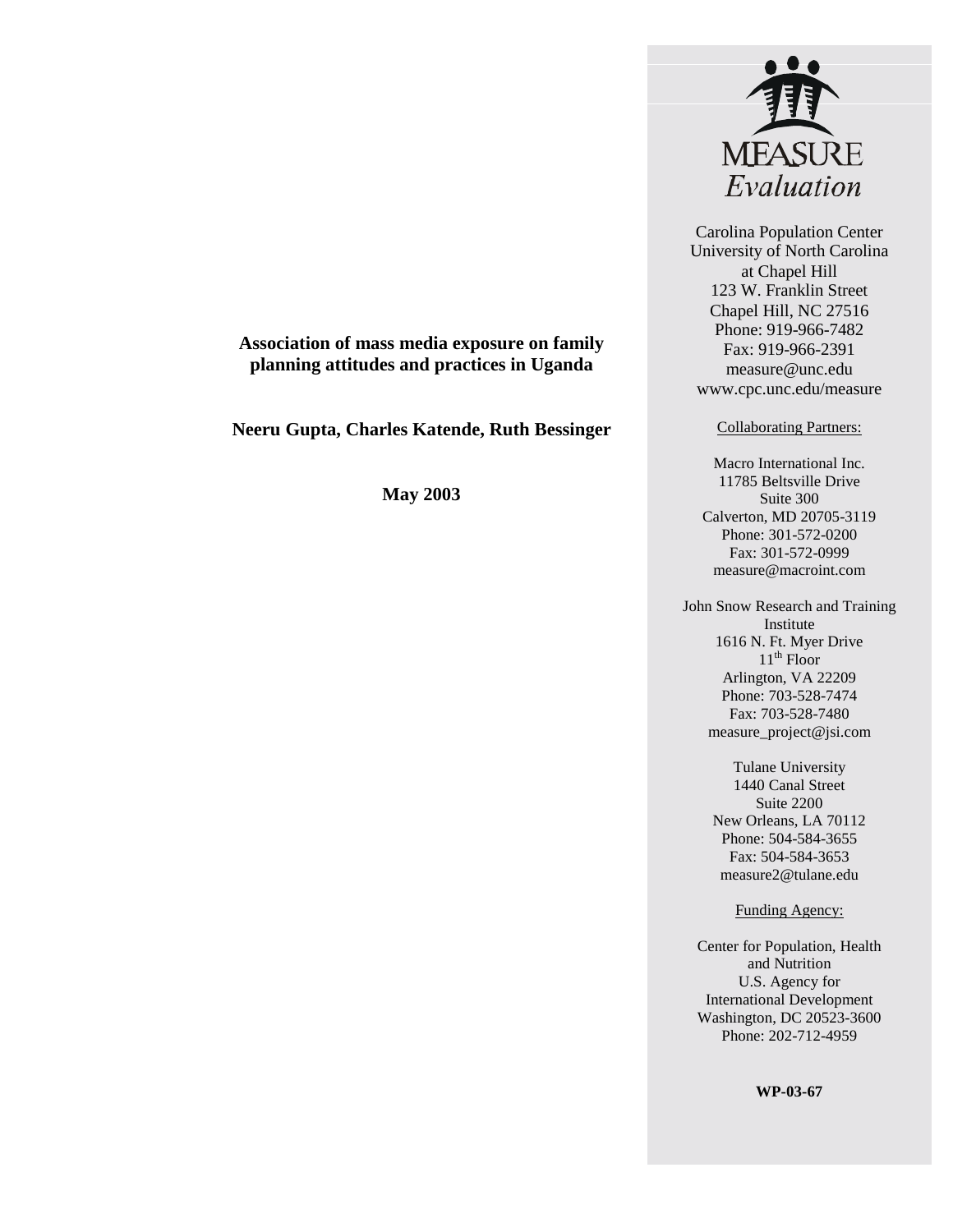

Carolina Population Center University of North Carolina at Chapel Hill 123 W. Franklin Street Chapel Hill, NC 27516 Phone: 919-966-7482 Fax: 919-966-2391 measure@unc.edu www.cpc.unc.edu/measure

#### Collaborating Partners:

Macro International Inc. 11785 Beltsville Drive Suite 300 Calverton, MD 20705-3119 Phone: 301-572-0200 Fax: 301-572-0999 measure@macroint.com

John Snow Research and Training Institute 1616 N. Ft. Myer Drive  $11<sup>th</sup>$  Floor Arlington, VA 22209 Phone: 703-528-7474 Fax: 703-528-7480 measure\_project@jsi.com

> Tulane University 1440 Canal Street Suite 2200 New Orleans, LA 70112 Phone: 504-584-3655 Fax: 504-584-3653 measure2@tulane.edu

#### Funding Agency:

Center for Population, Health and Nutrition U.S. Agency for International Development Washington, DC 20523-3600 Phone: 202-712-4959

**WP-03-67**

## **Association of mass media exposure on family planning attitudes and practices in Uganda**

**Neeru Gupta, Charles Katende, Ruth Bessinger**

**May 2003**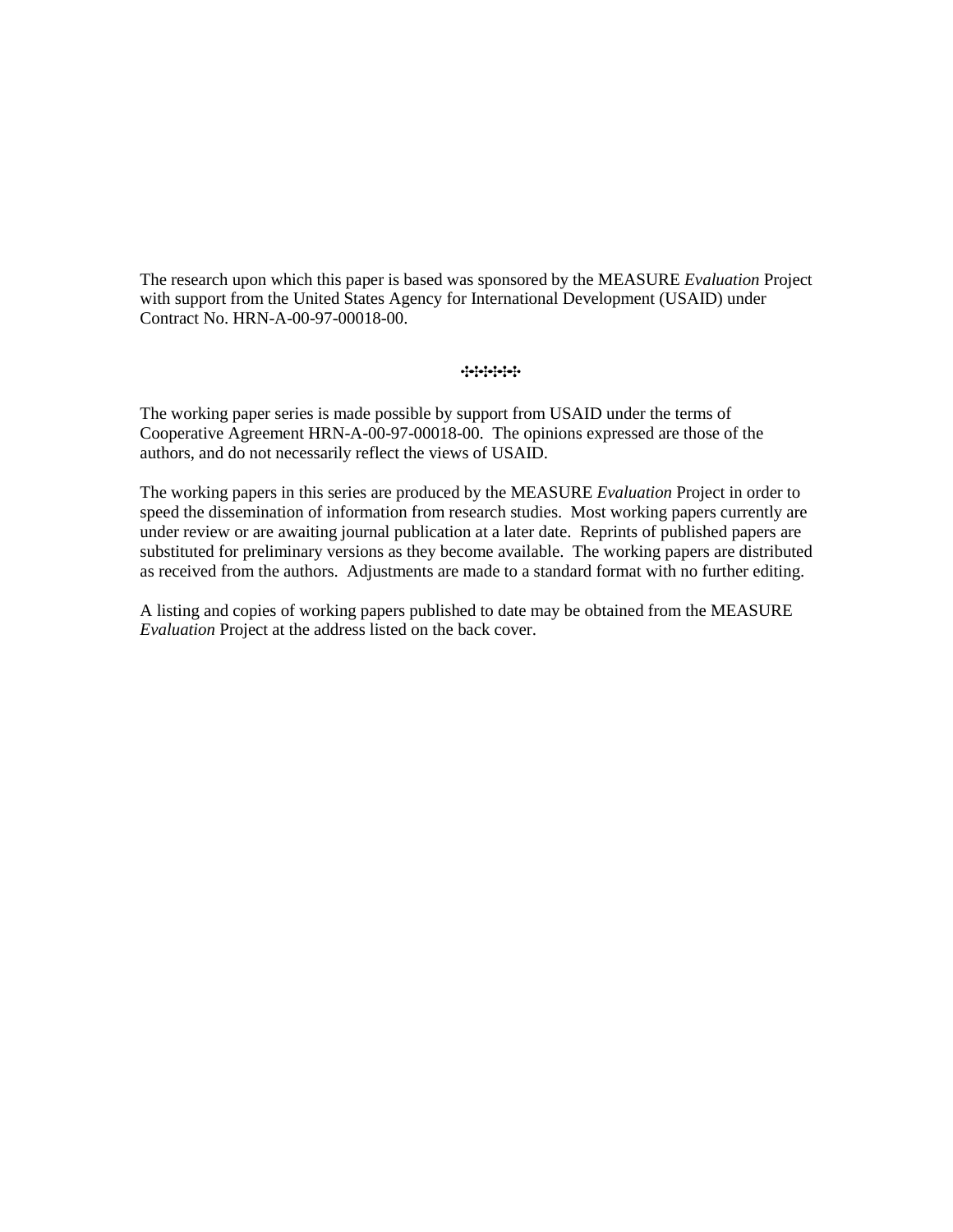The research upon which this paper is based was sponsored by the MEASURE *Evaluation* Project with support from the United States Agency for International Development (USAID) under Contract No. HRN-A-00-97-00018-00.

#### $\begin{bmatrix} \mathbf{1} & \mathbf{1} & \mathbf{1} & \mathbf{1} & \mathbf{1} & \mathbf{1} & \mathbf{1} & \mathbf{1} & \mathbf{1} & \mathbf{1} & \mathbf{1} & \mathbf{1} & \mathbf{1} & \mathbf{1} & \mathbf{1} & \mathbf{1} & \mathbf{1} & \mathbf{1} & \mathbf{1} & \mathbf{1} & \mathbf{1} & \mathbf{1} & \mathbf{1} & \mathbf{1} & \mathbf{1} & \mathbf{1} & \mathbf{1} & \mathbf{1} & \mathbf{1} & \mathbf{1} & \mathbf{$

The working paper series is made possible by support from USAID under the terms of Cooperative Agreement HRN-A-00-97-00018-00. The opinions expressed are those of the authors, and do not necessarily reflect the views of USAID.

The working papers in this series are produced by the MEASURE *Evaluation* Project in order to speed the dissemination of information from research studies. Most working papers currently are under review or are awaiting journal publication at a later date. Reprints of published papers are substituted for preliminary versions as they become available. The working papers are distributed as received from the authors. Adjustments are made to a standard format with no further editing.

A listing and copies of working papers published to date may be obtained from the MEASURE *Evaluation* Project at the address listed on the back cover.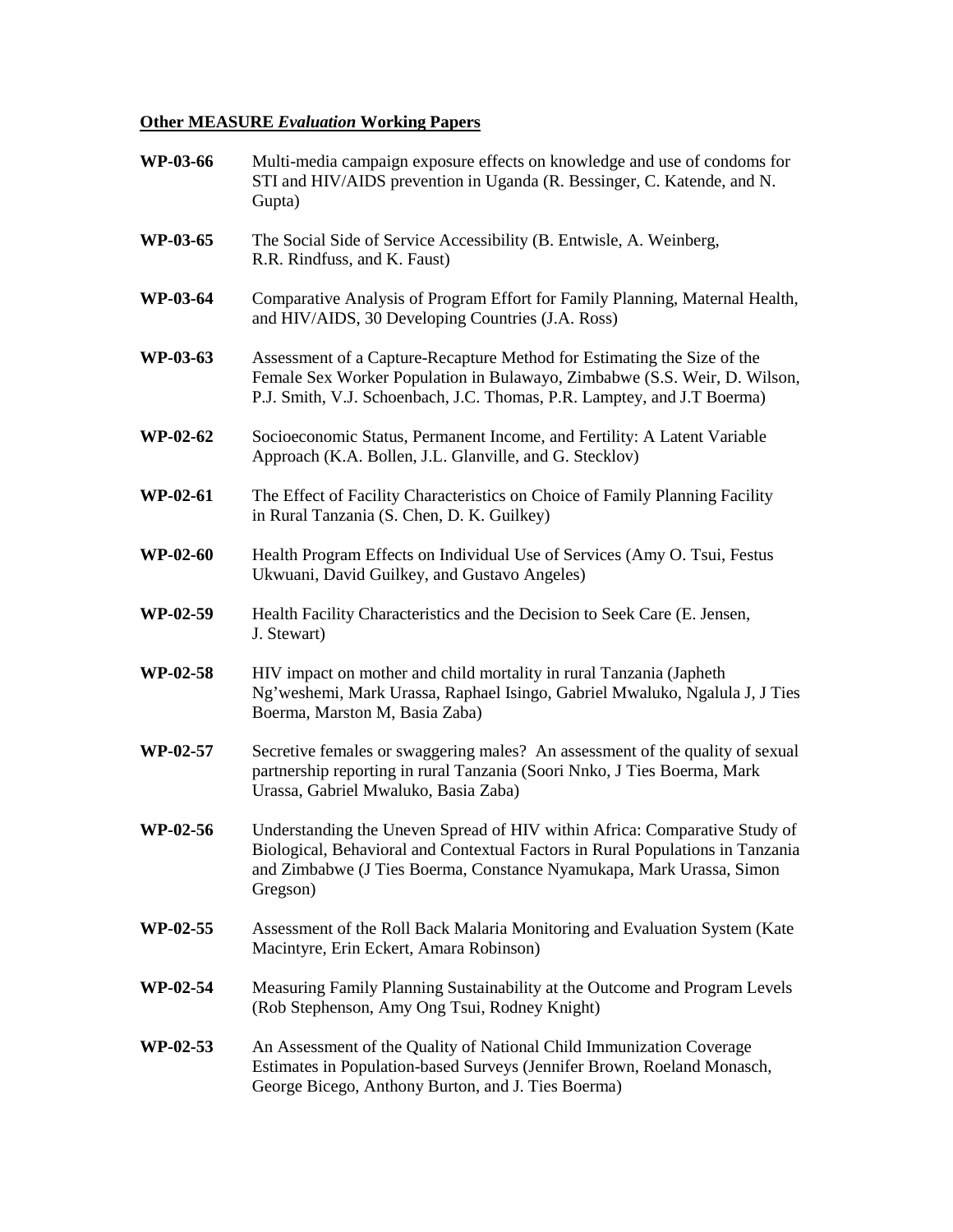## **Other MEASURE** *Evaluation* **Working Papers**

| WP-03-66        | Multi-media campaign exposure effects on knowledge and use of condoms for<br>STI and HIV/AIDS prevention in Uganda (R. Bessinger, C. Katende, and N.<br>Gupta)                                                                                   |
|-----------------|--------------------------------------------------------------------------------------------------------------------------------------------------------------------------------------------------------------------------------------------------|
| WP-03-65        | The Social Side of Service Accessibility (B. Entwisle, A. Weinberg,<br>R.R. Rindfuss, and K. Faust)                                                                                                                                              |
| WP-03-64        | Comparative Analysis of Program Effort for Family Planning, Maternal Health,<br>and HIV/AIDS, 30 Developing Countries (J.A. Ross)                                                                                                                |
| WP-03-63        | Assessment of a Capture-Recapture Method for Estimating the Size of the<br>Female Sex Worker Population in Bulawayo, Zimbabwe (S.S. Weir, D. Wilson,<br>P.J. Smith, V.J. Schoenbach, J.C. Thomas, P.R. Lamptey, and J.T Boerma)                  |
| <b>WP-02-62</b> | Socioeconomic Status, Permanent Income, and Fertility: A Latent Variable<br>Approach (K.A. Bollen, J.L. Glanville, and G. Stecklov)                                                                                                              |
| WP-02-61        | The Effect of Facility Characteristics on Choice of Family Planning Facility<br>in Rural Tanzania (S. Chen, D. K. Guilkey)                                                                                                                       |
| <b>WP-02-60</b> | Health Program Effects on Individual Use of Services (Amy O. Tsui, Festus<br>Ukwuani, David Guilkey, and Gustavo Angeles)                                                                                                                        |
| WP-02-59        | Health Facility Characteristics and the Decision to Seek Care (E. Jensen,<br>J. Stewart)                                                                                                                                                         |
| WP-02-58        | HIV impact on mother and child mortality in rural Tanzania (Japheth<br>Ng'weshemi, Mark Urassa, Raphael Isingo, Gabriel Mwaluko, Ngalula J, J Ties<br>Boerma, Marston M, Basia Zaba)                                                             |
| WP-02-57        | Secretive females or swaggering males? An assessment of the quality of sexual<br>partnership reporting in rural Tanzania (Soori Nnko, J Ties Boerma, Mark<br>Urassa, Gabriel Mwaluko, Basia Zaba)                                                |
| WP-02-56        | Understanding the Uneven Spread of HIV within Africa: Comparative Study of<br>Biological, Behavioral and Contextual Factors in Rural Populations in Tanzania<br>and Zimbabwe (J Ties Boerma, Constance Nyamukapa, Mark Urassa, Simon<br>Gregson) |
| WP-02-55        | Assessment of the Roll Back Malaria Monitoring and Evaluation System (Kate<br>Macintyre, Erin Eckert, Amara Robinson)                                                                                                                            |
| WP-02-54        | Measuring Family Planning Sustainability at the Outcome and Program Levels<br>(Rob Stephenson, Amy Ong Tsui, Rodney Knight)                                                                                                                      |
| WP-02-53        | An Assessment of the Quality of National Child Immunization Coverage<br>Estimates in Population-based Surveys (Jennifer Brown, Roeland Monasch,<br>George Bicego, Anthony Burton, and J. Ties Boerma)                                            |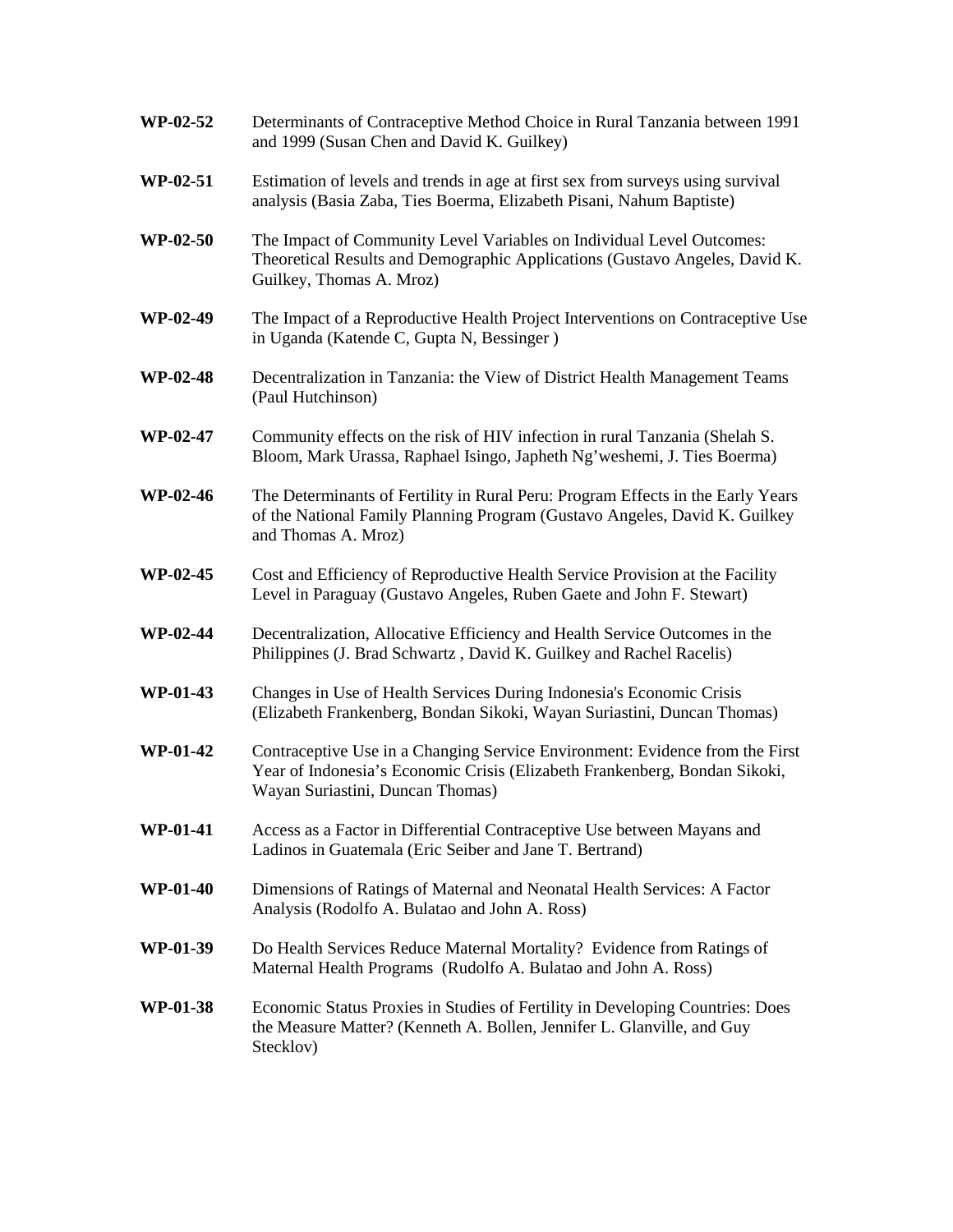| WP-02-52        | Determinants of Contraceptive Method Choice in Rural Tanzania between 1991<br>and 1999 (Susan Chen and David K. Guilkey)                                                                       |
|-----------------|------------------------------------------------------------------------------------------------------------------------------------------------------------------------------------------------|
| WP-02-51        | Estimation of levels and trends in age at first sex from surveys using survival<br>analysis (Basia Zaba, Ties Boerma, Elizabeth Pisani, Nahum Baptiste)                                        |
| <b>WP-02-50</b> | The Impact of Community Level Variables on Individual Level Outcomes:<br>Theoretical Results and Demographic Applications (Gustavo Angeles, David K.<br>Guilkey, Thomas A. Mroz)               |
| WP-02-49        | The Impact of a Reproductive Health Project Interventions on Contraceptive Use<br>in Uganda (Katende C, Gupta N, Bessinger)                                                                    |
| <b>WP-02-48</b> | Decentralization in Tanzania: the View of District Health Management Teams<br>(Paul Hutchinson)                                                                                                |
| WP-02-47        | Community effects on the risk of HIV infection in rural Tanzania (Shelah S.<br>Bloom, Mark Urassa, Raphael Isingo, Japheth Ng'weshemi, J. Ties Boerma)                                         |
| <b>WP-02-46</b> | The Determinants of Fertility in Rural Peru: Program Effects in the Early Years<br>of the National Family Planning Program (Gustavo Angeles, David K. Guilkey<br>and Thomas A. Mroz)           |
| WP-02-45        | Cost and Efficiency of Reproductive Health Service Provision at the Facility<br>Level in Paraguay (Gustavo Angeles, Ruben Gaete and John F. Stewart)                                           |
| <b>WP-02-44</b> | Decentralization, Allocative Efficiency and Health Service Outcomes in the<br>Philippines (J. Brad Schwartz, David K. Guilkey and Rachel Racelis)                                              |
| <b>WP-01-43</b> | Changes in Use of Health Services During Indonesia's Economic Crisis<br>(Elizabeth Frankenberg, Bondan Sikoki, Wayan Suriastini, Duncan Thomas)                                                |
| <b>WP-01-42</b> | Contraceptive Use in a Changing Service Environment: Evidence from the First<br>Year of Indonesia's Economic Crisis (Elizabeth Frankenberg, Bondan Sikoki,<br>Wayan Suriastini, Duncan Thomas) |
| WP-01-41        | Access as a Factor in Differential Contraceptive Use between Mayans and<br>Ladinos in Guatemala (Eric Seiber and Jane T. Bertrand)                                                             |
| <b>WP-01-40</b> | Dimensions of Ratings of Maternal and Neonatal Health Services: A Factor<br>Analysis (Rodolfo A. Bulatao and John A. Ross)                                                                     |
| WP-01-39        | Do Health Services Reduce Maternal Mortality? Evidence from Ratings of<br>Maternal Health Programs (Rudolfo A. Bulatao and John A. Ross)                                                       |
| WP-01-38        | Economic Status Proxies in Studies of Fertility in Developing Countries: Does<br>the Measure Matter? (Kenneth A. Bollen, Jennifer L. Glanville, and Guy<br>Stecklov)                           |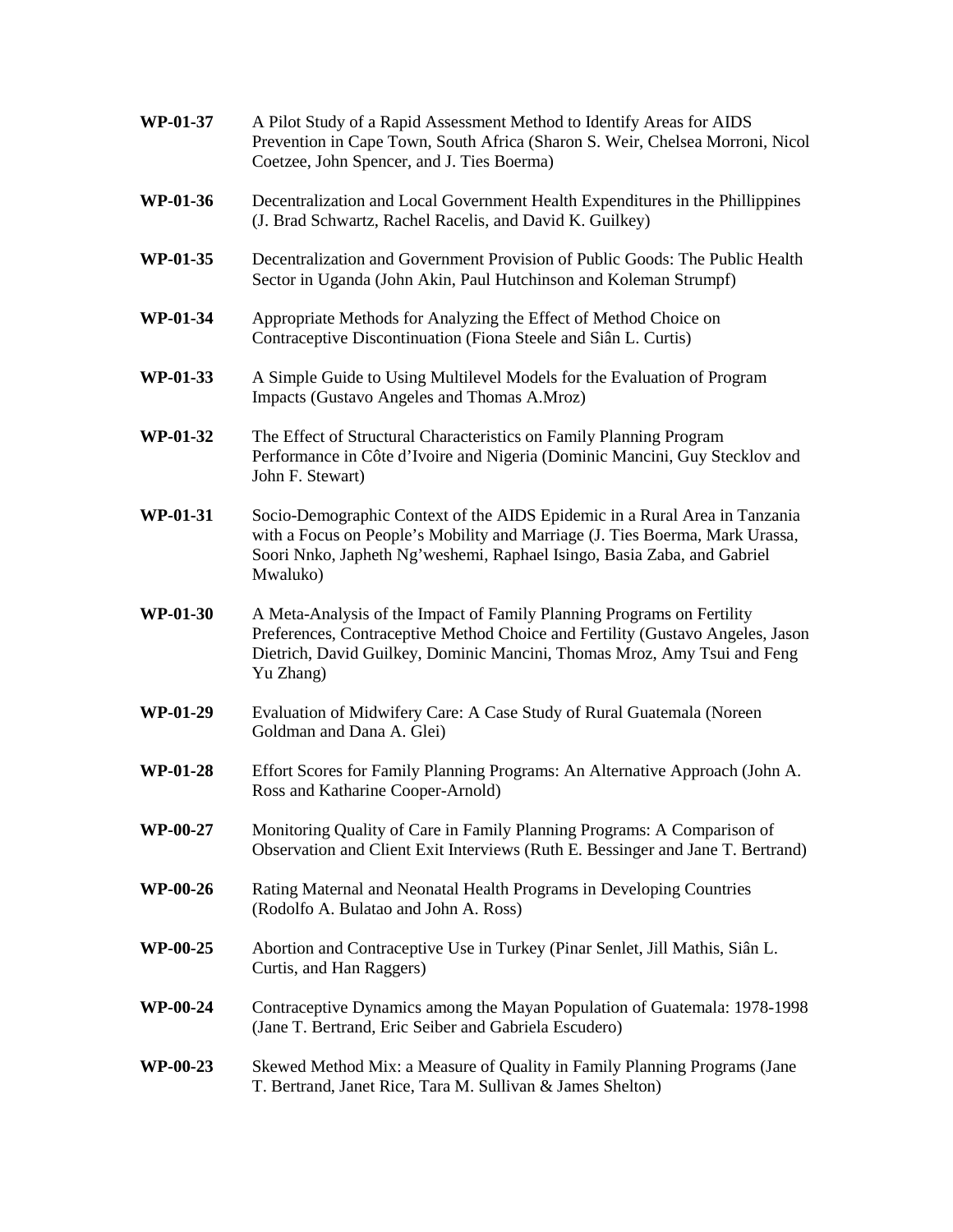| WP-01-37        | A Pilot Study of a Rapid Assessment Method to Identify Areas for AIDS<br>Prevention in Cape Town, South Africa (Sharon S. Weir, Chelsea Morroni, Nicol<br>Coetzee, John Spencer, and J. Ties Boerma)                                              |
|-----------------|---------------------------------------------------------------------------------------------------------------------------------------------------------------------------------------------------------------------------------------------------|
| WP-01-36        | Decentralization and Local Government Health Expenditures in the Phillippines<br>(J. Brad Schwartz, Rachel Racelis, and David K. Guilkey)                                                                                                         |
| WP-01-35        | Decentralization and Government Provision of Public Goods: The Public Health<br>Sector in Uganda (John Akin, Paul Hutchinson and Koleman Strumpf)                                                                                                 |
| WP-01-34        | Appropriate Methods for Analyzing the Effect of Method Choice on<br>Contraceptive Discontinuation (Fiona Steele and Siân L. Curtis)                                                                                                               |
| WP-01-33        | A Simple Guide to Using Multilevel Models for the Evaluation of Program<br>Impacts (Gustavo Angeles and Thomas A.Mroz)                                                                                                                            |
| WP-01-32        | The Effect of Structural Characteristics on Family Planning Program<br>Performance in Côte d'Ivoire and Nigeria (Dominic Mancini, Guy Stecklov and<br>John F. Stewart)                                                                            |
| WP-01-31        | Socio-Demographic Context of the AIDS Epidemic in a Rural Area in Tanzania<br>with a Focus on People's Mobility and Marriage (J. Ties Boerma, Mark Urassa,<br>Soori Nnko, Japheth Ng'weshemi, Raphael Isingo, Basia Zaba, and Gabriel<br>Mwaluko) |
| WP-01-30        | A Meta-Analysis of the Impact of Family Planning Programs on Fertility<br>Preferences, Contraceptive Method Choice and Fertility (Gustavo Angeles, Jason<br>Dietrich, David Guilkey, Dominic Mancini, Thomas Mroz, Amy Tsui and Feng<br>Yu Zhang) |
| WP-01-29        | Evaluation of Midwifery Care: A Case Study of Rural Guatemala (Noreen<br>Goldman and Dana A. Glei)                                                                                                                                                |
| <b>WP-01-28</b> | Effort Scores for Family Planning Programs: An Alternative Approach (John A.<br>Ross and Katharine Cooper-Arnold)                                                                                                                                 |
| <b>WP-00-27</b> | Monitoring Quality of Care in Family Planning Programs: A Comparison of<br>Observation and Client Exit Interviews (Ruth E. Bessinger and Jane T. Bertrand)                                                                                        |
| WP-00-26        | Rating Maternal and Neonatal Health Programs in Developing Countries<br>(Rodolfo A. Bulatao and John A. Ross)                                                                                                                                     |
| WP-00-25        | Abortion and Contraceptive Use in Turkey (Pinar Senlet, Jill Mathis, Siân L.<br>Curtis, and Han Raggers)                                                                                                                                          |
| <b>WP-00-24</b> | Contraceptive Dynamics among the Mayan Population of Guatemala: 1978-1998<br>(Jane T. Bertrand, Eric Seiber and Gabriela Escudero)                                                                                                                |
| WP-00-23        | Skewed Method Mix: a Measure of Quality in Family Planning Programs (Jane<br>T. Bertrand, Janet Rice, Tara M. Sullivan & James Shelton)                                                                                                           |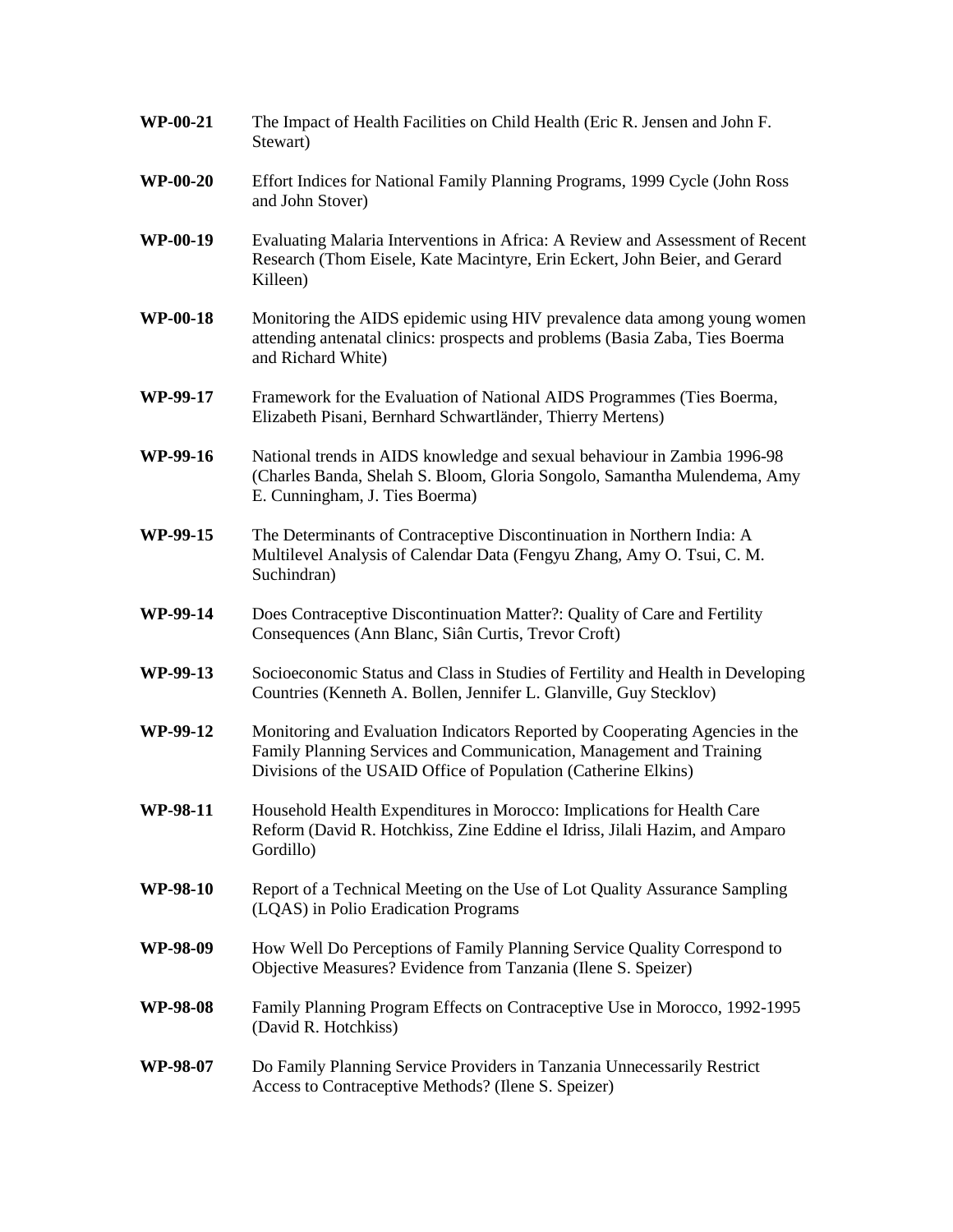| <b>WP-00-21</b> | The Impact of Health Facilities on Child Health (Eric R. Jensen and John F.<br>Stewart)                                                                                                                               |
|-----------------|-----------------------------------------------------------------------------------------------------------------------------------------------------------------------------------------------------------------------|
| <b>WP-00-20</b> | Effort Indices for National Family Planning Programs, 1999 Cycle (John Ross<br>and John Stover)                                                                                                                       |
| WP-00-19        | Evaluating Malaria Interventions in Africa: A Review and Assessment of Recent<br>Research (Thom Eisele, Kate Macintyre, Erin Eckert, John Beier, and Gerard<br>Killeen)                                               |
| <b>WP-00-18</b> | Monitoring the AIDS epidemic using HIV prevalence data among young women<br>attending antenatal clinics: prospects and problems (Basia Zaba, Ties Boerma<br>and Richard White)                                        |
| WP-99-17        | Framework for the Evaluation of National AIDS Programmes (Ties Boerma,<br>Elizabeth Pisani, Bernhard Schwartländer, Thierry Mertens)                                                                                  |
| WP-99-16        | National trends in AIDS knowledge and sexual behaviour in Zambia 1996-98<br>(Charles Banda, Shelah S. Bloom, Gloria Songolo, Samantha Mulendema, Amy<br>E. Cunningham, J. Ties Boerma)                                |
| WP-99-15        | The Determinants of Contraceptive Discontinuation in Northern India: A<br>Multilevel Analysis of Calendar Data (Fengyu Zhang, Amy O. Tsui, C. M.<br>Suchindran)                                                       |
| WP-99-14        | Does Contraceptive Discontinuation Matter?: Quality of Care and Fertility<br>Consequences (Ann Blanc, Siân Curtis, Trevor Croft)                                                                                      |
| WP-99-13        | Socioeconomic Status and Class in Studies of Fertility and Health in Developing<br>Countries (Kenneth A. Bollen, Jennifer L. Glanville, Guy Stecklov)                                                                 |
| WP-99-12        | Monitoring and Evaluation Indicators Reported by Cooperating Agencies in the<br>Family Planning Services and Communication, Management and Training<br>Divisions of the USAID Office of Population (Catherine Elkins) |
| WP-98-11        | Household Health Expenditures in Morocco: Implications for Health Care<br>Reform (David R. Hotchkiss, Zine Eddine el Idriss, Jilali Hazim, and Amparo<br>Gordillo)                                                    |
| <b>WP-98-10</b> | Report of a Technical Meeting on the Use of Lot Quality Assurance Sampling<br>(LQAS) in Polio Eradication Programs                                                                                                    |
| WP-98-09        | How Well Do Perceptions of Family Planning Service Quality Correspond to<br>Objective Measures? Evidence from Tanzania (Ilene S. Speizer)                                                                             |
| WP-98-08        | Family Planning Program Effects on Contraceptive Use in Morocco, 1992-1995<br>(David R. Hotchkiss)                                                                                                                    |
| WP-98-07        | Do Family Planning Service Providers in Tanzania Unnecessarily Restrict<br>Access to Contraceptive Methods? (Ilene S. Speizer)                                                                                        |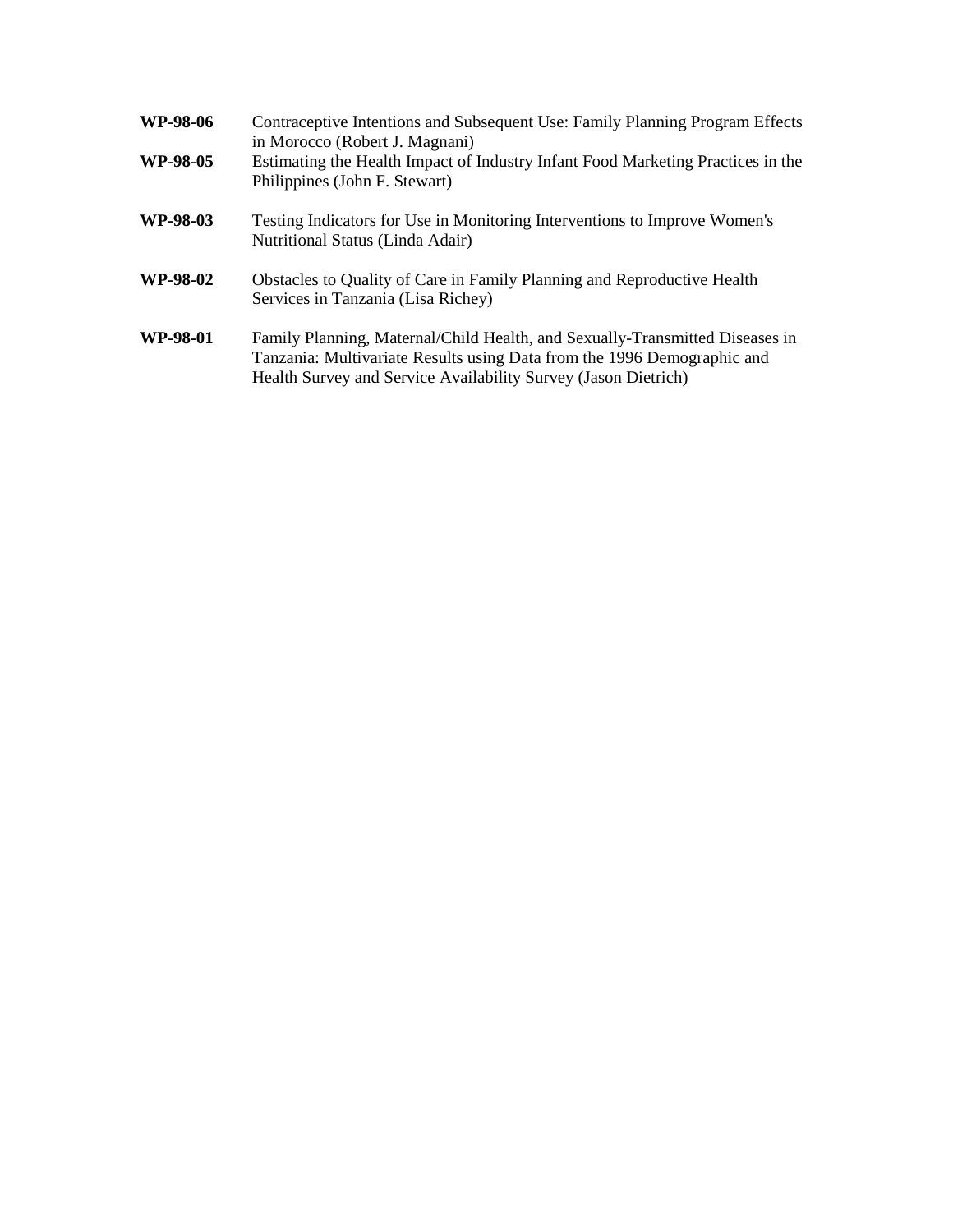| <b>WP-98-06</b><br>WP-98-05 | Contraceptive Intentions and Subsequent Use: Family Planning Program Effects<br>in Morocco (Robert J. Magnani)<br>Estimating the Health Impact of Industry Infant Food Marketing Practices in the<br>Philippines (John F. Stewart) |
|-----------------------------|------------------------------------------------------------------------------------------------------------------------------------------------------------------------------------------------------------------------------------|
| WP-98-03                    | Testing Indicators for Use in Monitoring Interventions to Improve Women's<br>Nutritional Status (Linda Adair)                                                                                                                      |
| WP-98-02                    | Obstacles to Quality of Care in Family Planning and Reproductive Health<br>Services in Tanzania (Lisa Richey)                                                                                                                      |
| WP-98-01                    | Family Planning, Maternal/Child Health, and Sexually-Transmitted Diseases in<br>Tanzania: Multivariate Results using Data from the 1996 Demographic and<br>Health Survey and Service Availability Survey (Jason Dietrich)          |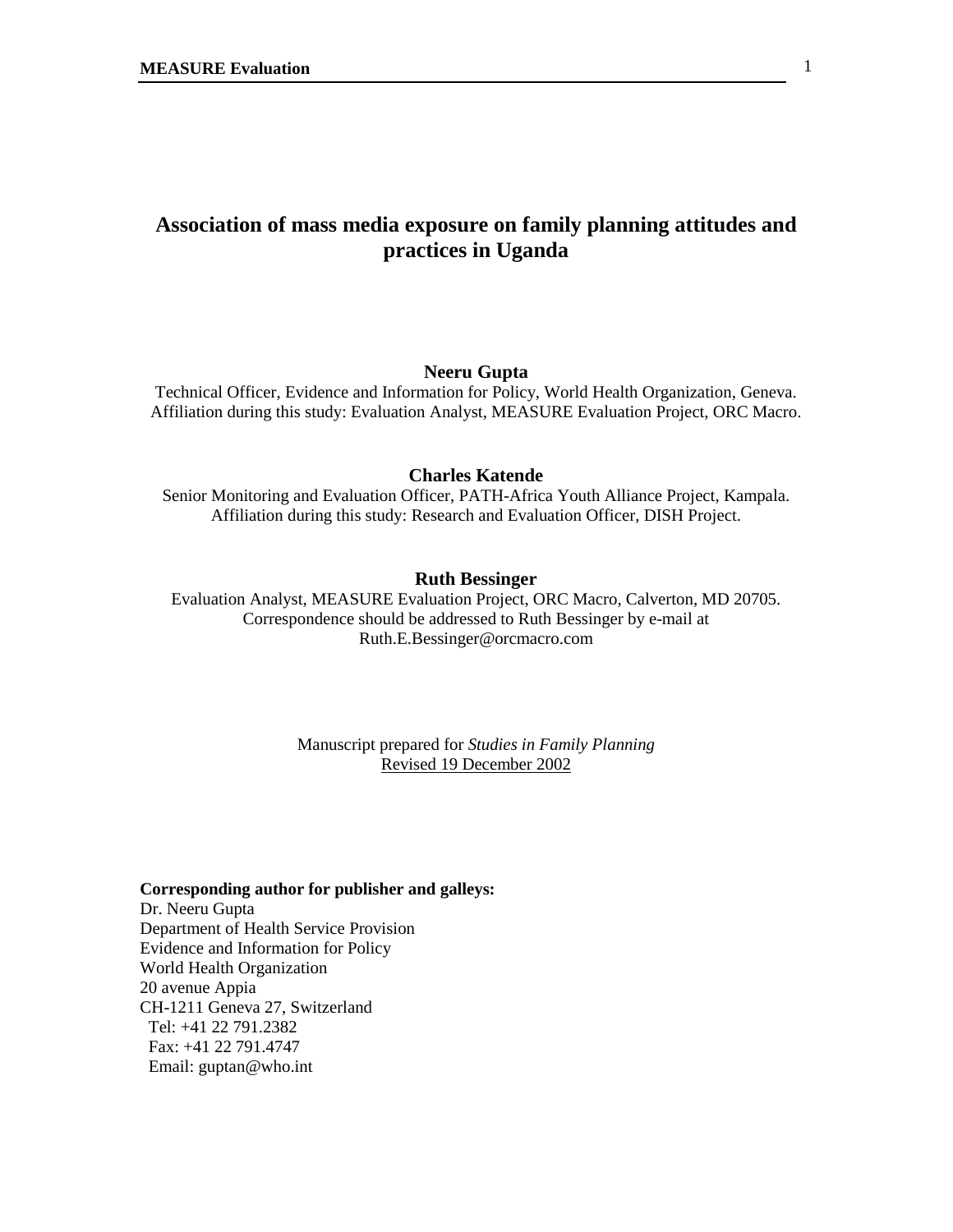# **Association of mass media exposure on family planning attitudes and practices in Uganda**

#### **Neeru Gupta**

Technical Officer, Evidence and Information for Policy, World Health Organization, Geneva. Affiliation during this study: Evaluation Analyst, MEASURE Evaluation Project, ORC Macro.

## **Charles Katende**

Senior Monitoring and Evaluation Officer, PATH-Africa Youth Alliance Project, Kampala. Affiliation during this study: Research and Evaluation Officer, DISH Project.

#### **Ruth Bessinger**

Evaluation Analyst, MEASURE Evaluation Project, ORC Macro, Calverton, MD 20705. Correspondence should be addressed to Ruth Bessinger by e-mail at Ruth.E.Bessinger@orcmacro.com

> Manuscript prepared for *Studies in Family Planning* Revised 19 December 2002

#### **Corresponding author for publisher and galleys:**

Dr. Neeru Gupta Department of Health Service Provision Evidence and Information for Policy World Health Organization 20 avenue Appia CH-1211 Geneva 27, Switzerland Tel: +41 22 791.2382 Fax: +41 22 791.4747 Email: guptan@who.int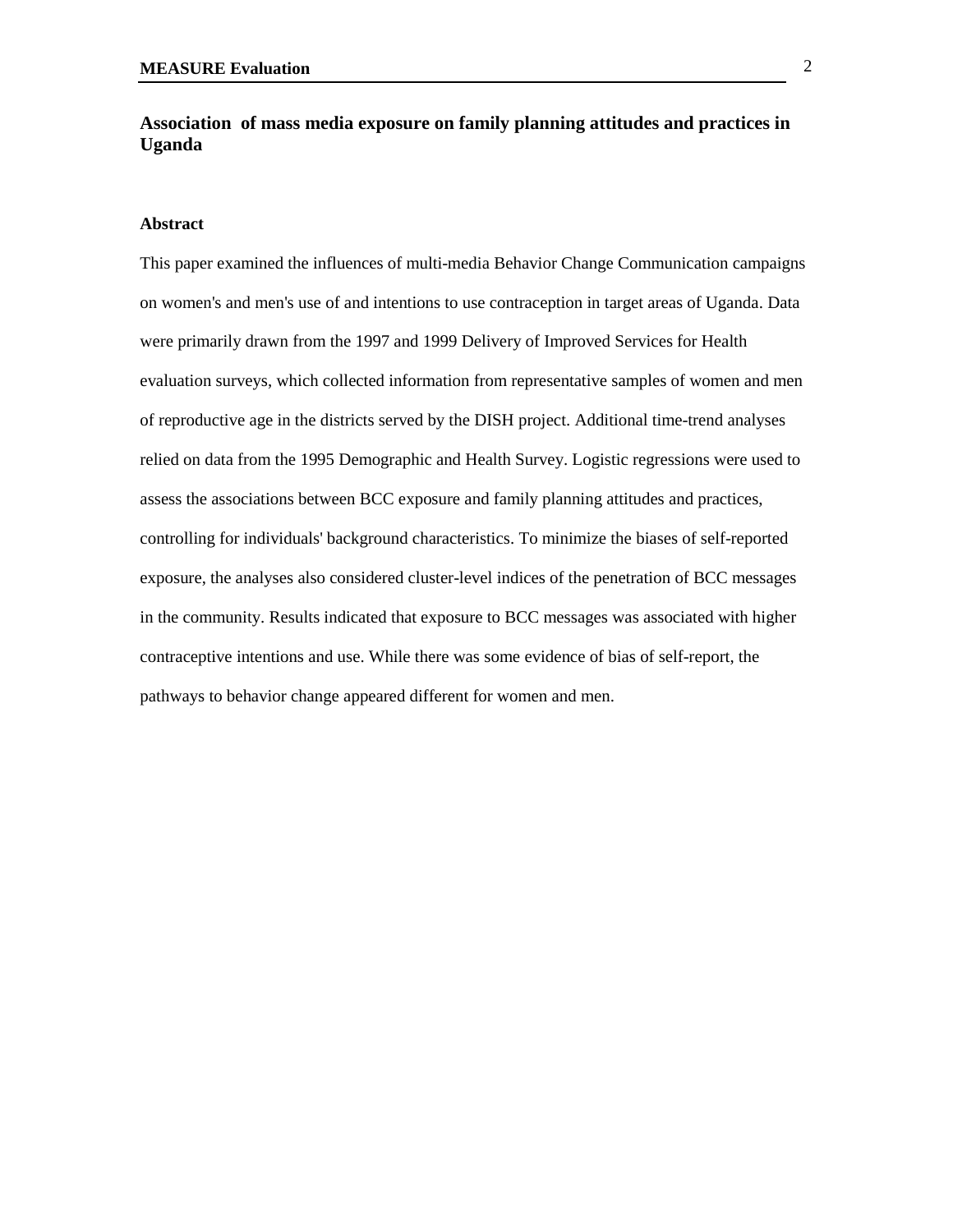## **Association of mass media exposure on family planning attitudes and practices in Uganda**

#### **Abstract**

This paper examined the influences of multi-media Behavior Change Communication campaigns on women's and men's use of and intentions to use contraception in target areas of Uganda. Data were primarily drawn from the 1997 and 1999 Delivery of Improved Services for Health evaluation surveys, which collected information from representative samples of women and men of reproductive age in the districts served by the DISH project. Additional time-trend analyses relied on data from the 1995 Demographic and Health Survey. Logistic regressions were used to assess the associations between BCC exposure and family planning attitudes and practices, controlling for individuals' background characteristics. To minimize the biases of self-reported exposure, the analyses also considered cluster-level indices of the penetration of BCC messages in the community. Results indicated that exposure to BCC messages was associated with higher contraceptive intentions and use. While there was some evidence of bias of self-report, the pathways to behavior change appeared different for women and men.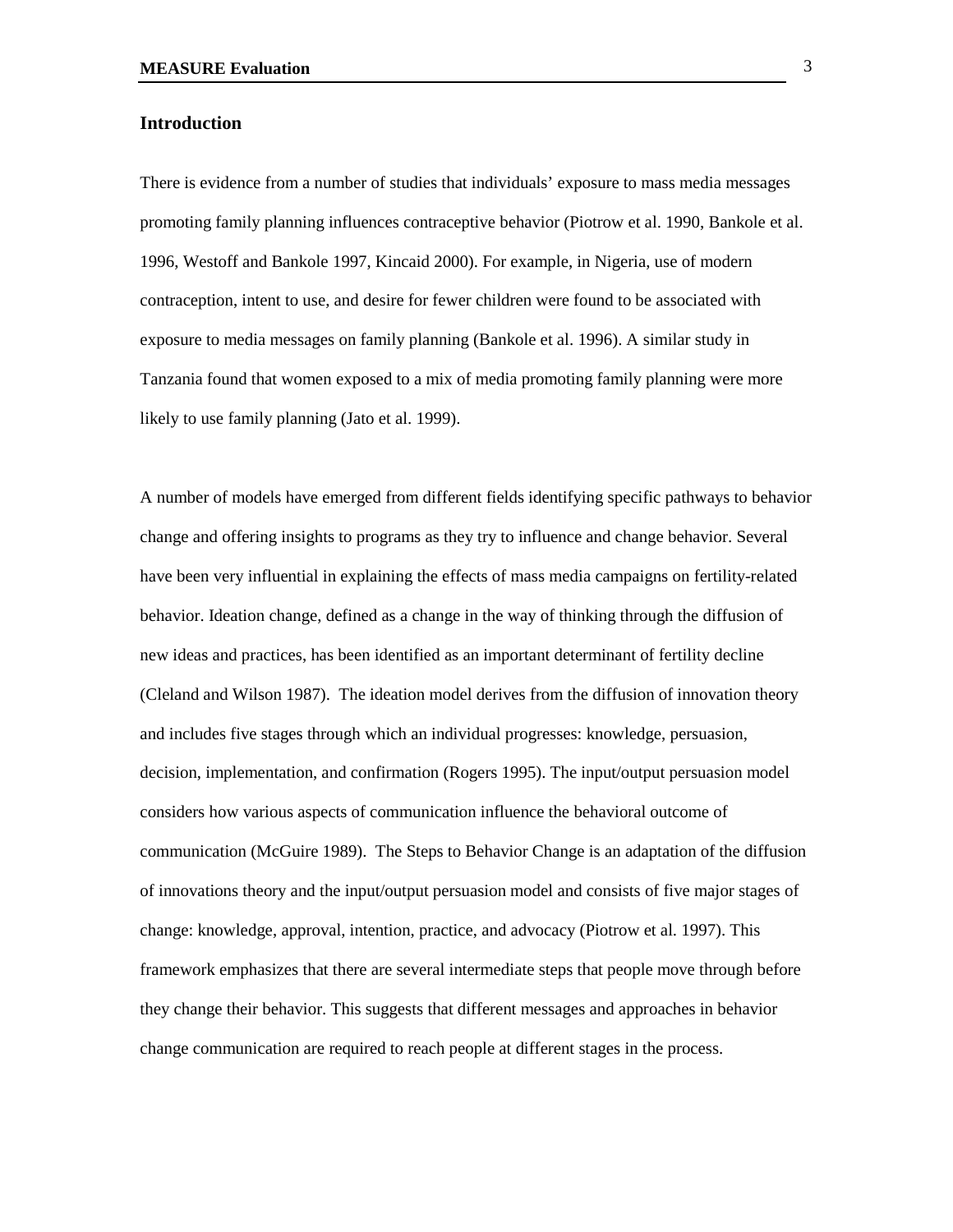## **Introduction**

There is evidence from a number of studies that individuals' exposure to mass media messages promoting family planning influences contraceptive behavior (Piotrow et al. 1990, Bankole et al. 1996, Westoff and Bankole 1997, Kincaid 2000). For example, in Nigeria, use of modern contraception, intent to use, and desire for fewer children were found to be associated with exposure to media messages on family planning (Bankole et al. 1996). A similar study in Tanzania found that women exposed to a mix of media promoting family planning were more likely to use family planning (Jato et al. 1999).

A number of models have emerged from different fields identifying specific pathways to behavior change and offering insights to programs as they try to influence and change behavior. Several have been very influential in explaining the effects of mass media campaigns on fertility-related behavior. Ideation change, defined as a change in the way of thinking through the diffusion of new ideas and practices, has been identified as an important determinant of fertility decline (Cleland and Wilson 1987). The ideation model derives from the diffusion of innovation theory and includes five stages through which an individual progresses: knowledge, persuasion, decision, implementation, and confirmation (Rogers 1995). The input/output persuasion model considers how various aspects of communication influence the behavioral outcome of communication (McGuire 1989). The Steps to Behavior Change is an adaptation of the diffusion of innovations theory and the input/output persuasion model and consists of five major stages of change: knowledge, approval, intention, practice, and advocacy (Piotrow et al. 1997). This framework emphasizes that there are several intermediate steps that people move through before they change their behavior. This suggests that different messages and approaches in behavior change communication are required to reach people at different stages in the process.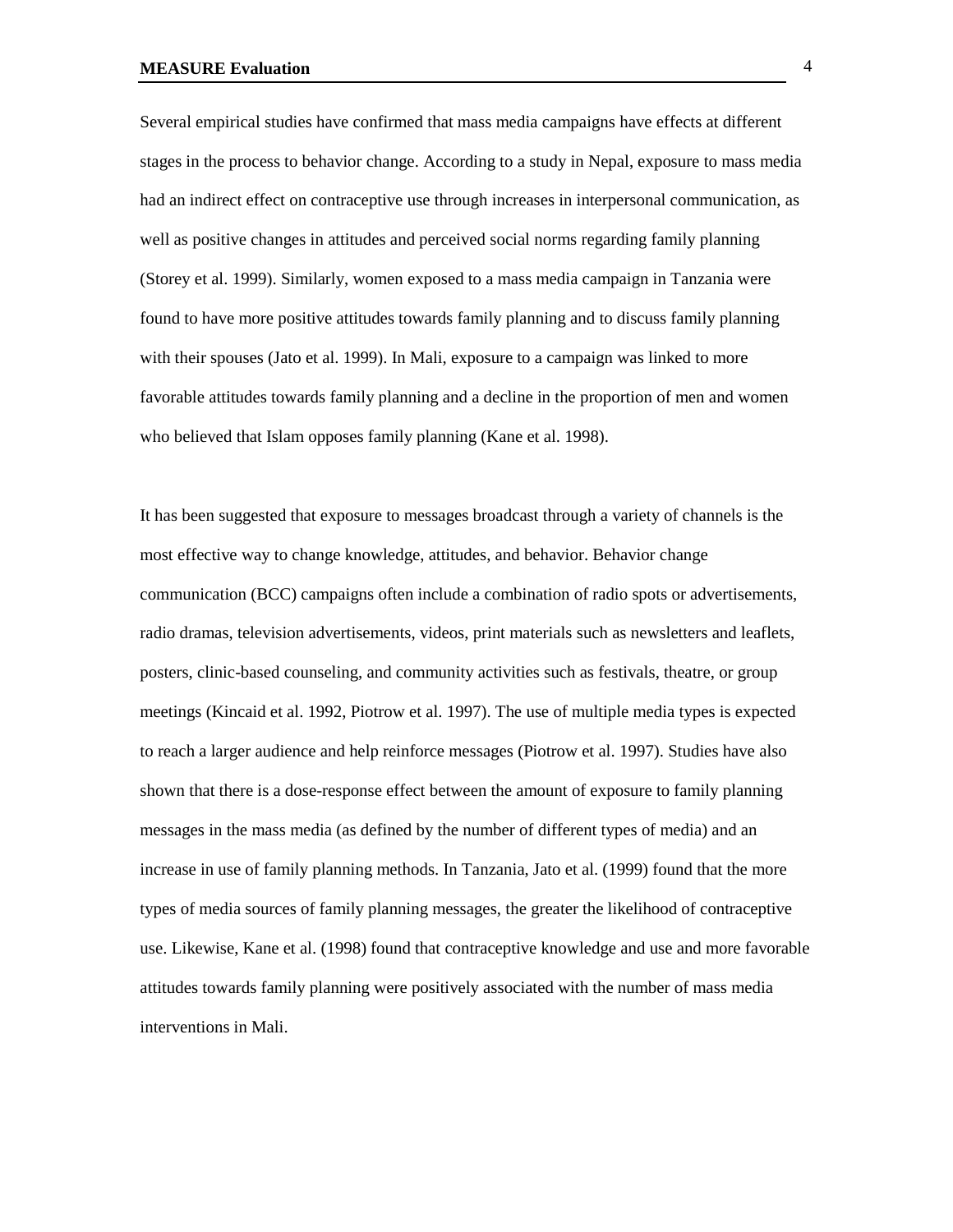Several empirical studies have confirmed that mass media campaigns have effects at different stages in the process to behavior change. According to a study in Nepal, exposure to mass media had an indirect effect on contraceptive use through increases in interpersonal communication, as well as positive changes in attitudes and perceived social norms regarding family planning (Storey et al. 1999). Similarly, women exposed to a mass media campaign in Tanzania were found to have more positive attitudes towards family planning and to discuss family planning with their spouses (Jato et al. 1999). In Mali, exposure to a campaign was linked to more favorable attitudes towards family planning and a decline in the proportion of men and women who believed that Islam opposes family planning (Kane et al. 1998).

It has been suggested that exposure to messages broadcast through a variety of channels is the most effective way to change knowledge, attitudes, and behavior. Behavior change communication (BCC) campaigns often include a combination of radio spots or advertisements, radio dramas, television advertisements, videos, print materials such as newsletters and leaflets, posters, clinic-based counseling, and community activities such as festivals, theatre, or group meetings (Kincaid et al. 1992, Piotrow et al. 1997). The use of multiple media types is expected to reach a larger audience and help reinforce messages (Piotrow et al. 1997). Studies have also shown that there is a dose-response effect between the amount of exposure to family planning messages in the mass media (as defined by the number of different types of media) and an increase in use of family planning methods. In Tanzania, Jato et al. (1999) found that the more types of media sources of family planning messages, the greater the likelihood of contraceptive use. Likewise, Kane et al. (1998) found that contraceptive knowledge and use and more favorable attitudes towards family planning were positively associated with the number of mass media interventions in Mali.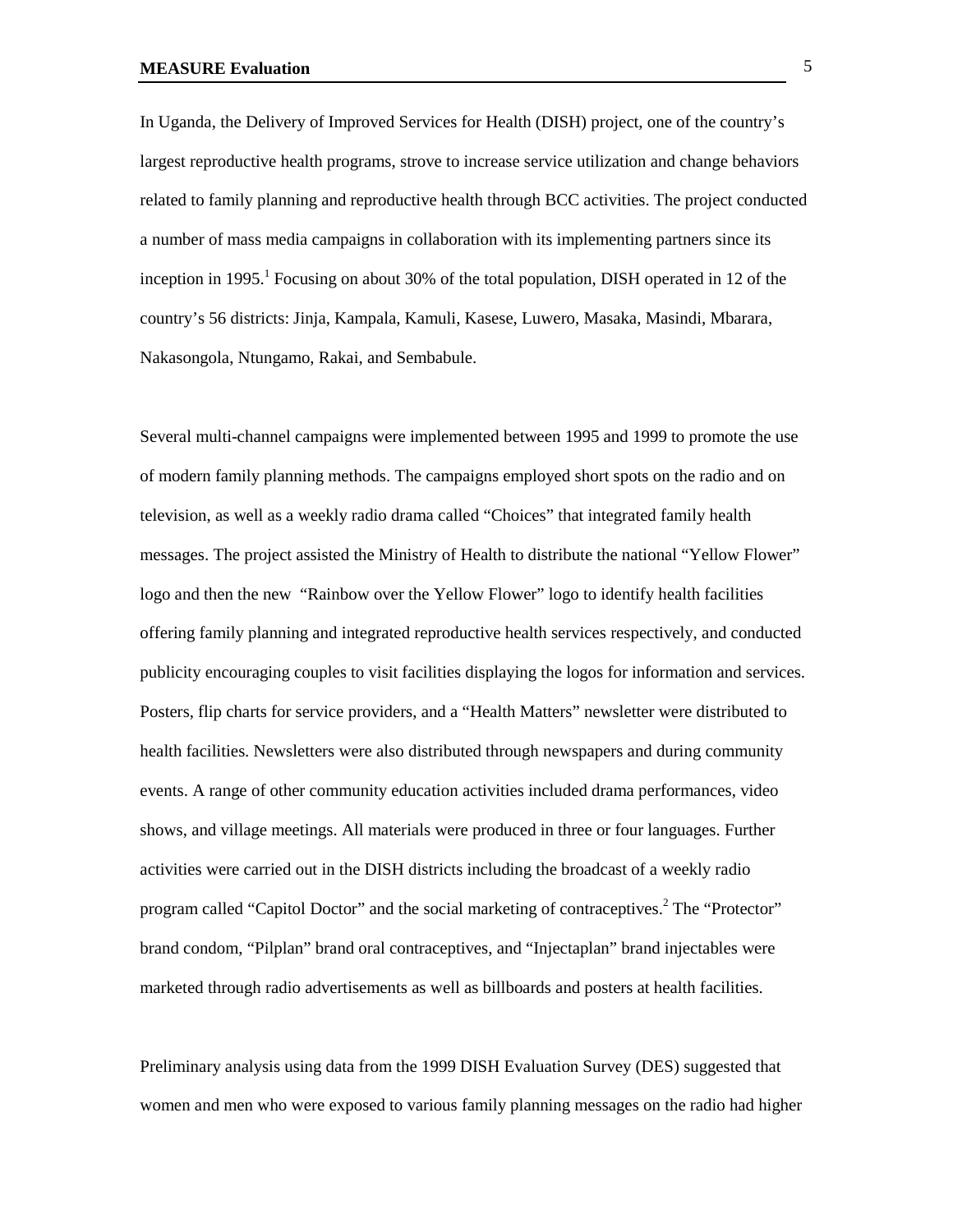In Uganda, the Delivery of Improved Services for Health (DISH) project, one of the country's largest reproductive health programs, strove to increase service utilization and change behaviors related to family planning and reproductive health through BCC activities. The project conducted a number of mass media campaigns in collaboration with its implementing partners since its inception in 1995.<sup>1</sup> Focusing on about 30% of the total population, DISH operated in 12 of the country's 56 districts: Jinja, Kampala, Kamuli, Kasese, Luwero, Masaka, Masindi, Mbarara, Nakasongola, Ntungamo, Rakai, and Sembabule.

Several multi-channel campaigns were implemented between 1995 and 1999 to promote the use of modern family planning methods. The campaigns employed short spots on the radio and on television, as well as a weekly radio drama called "Choices" that integrated family health messages. The project assisted the Ministry of Health to distribute the national "Yellow Flower" logo and then the new "Rainbow over the Yellow Flower" logo to identify health facilities offering family planning and integrated reproductive health services respectively, and conducted publicity encouraging couples to visit facilities displaying the logos for information and services. Posters, flip charts for service providers, and a "Health Matters" newsletter were distributed to health facilities. Newsletters were also distributed through newspapers and during community events. A range of other community education activities included drama performances, video shows, and village meetings. All materials were produced in three or four languages. Further activities were carried out in the DISH districts including the broadcast of a weekly radio program called "Capitol Doctor" and the social marketing of contraceptives.<sup>2</sup> The "Protector" brand condom, "Pilplan" brand oral contraceptives, and "Injectaplan" brand injectables were marketed through radio advertisements as well as billboards and posters at health facilities.

Preliminary analysis using data from the 1999 DISH Evaluation Survey (DES) suggested that women and men who were exposed to various family planning messages on the radio had higher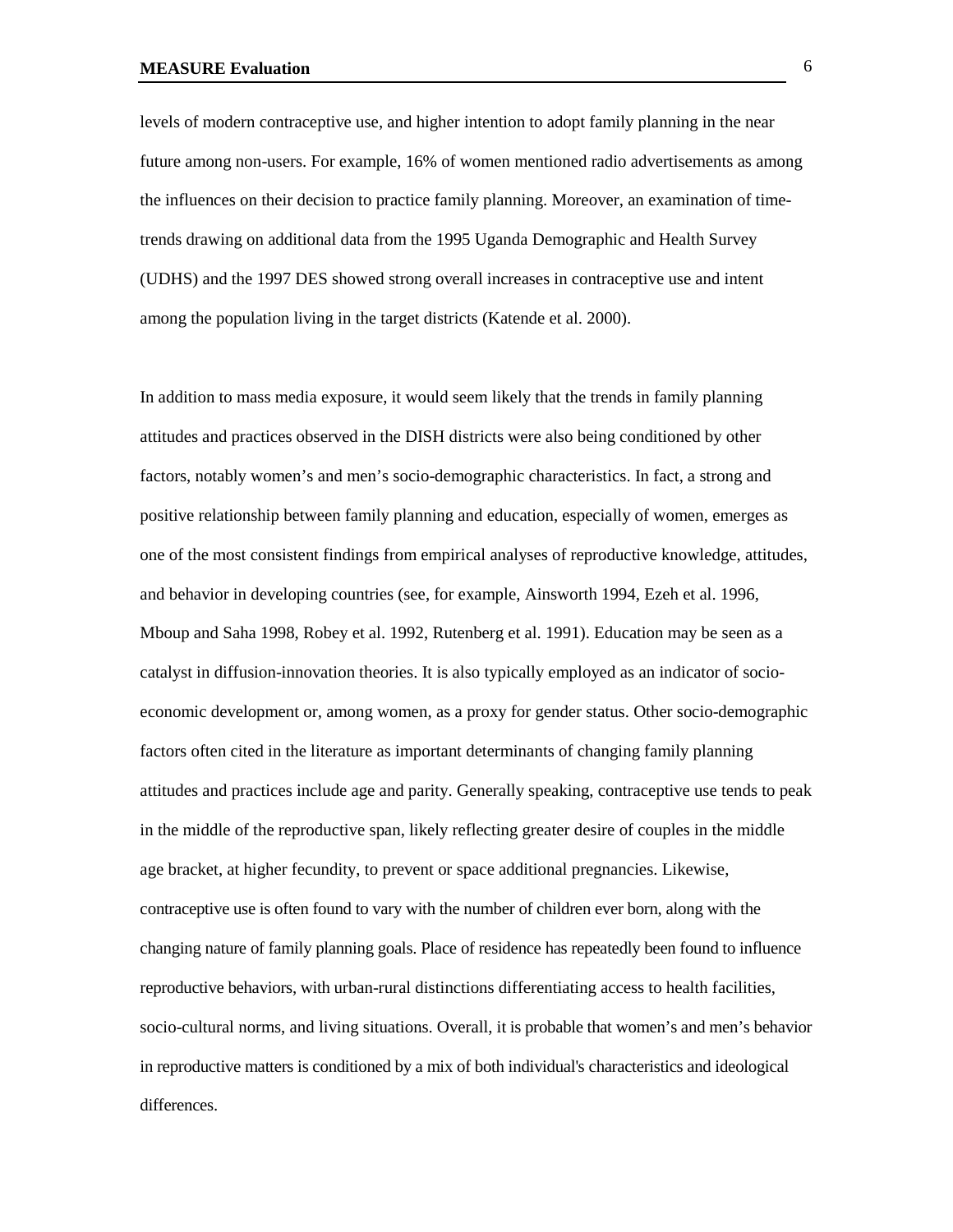levels of modern contraceptive use, and higher intention to adopt family planning in the near future among non-users. For example, 16% of women mentioned radio advertisements as among the influences on their decision to practice family planning. Moreover, an examination of timetrends drawing on additional data from the 1995 Uganda Demographic and Health Survey (UDHS) and the 1997 DES showed strong overall increases in contraceptive use and intent among the population living in the target districts (Katende et al. 2000).

In addition to mass media exposure, it would seem likely that the trends in family planning attitudes and practices observed in the DISH districts were also being conditioned by other factors, notably women's and men's socio-demographic characteristics. In fact, a strong and positive relationship between family planning and education, especially of women, emerges as one of the most consistent findings from empirical analyses of reproductive knowledge, attitudes, and behavior in developing countries (see, for example, Ainsworth 1994, Ezeh et al. 1996, Mboup and Saha 1998, Robey et al. 1992, Rutenberg et al. 1991). Education may be seen as a catalyst in diffusion-innovation theories. It is also typically employed as an indicator of socioeconomic development or, among women, as a proxy for gender status. Other socio-demographic factors often cited in the literature as important determinants of changing family planning attitudes and practices include age and parity. Generally speaking, contraceptive use tends to peak in the middle of the reproductive span, likely reflecting greater desire of couples in the middle age bracket, at higher fecundity, to prevent or space additional pregnancies. Likewise, contraceptive use is often found to vary with the number of children ever born, along with the changing nature of family planning goals. Place of residence has repeatedly been found to influence reproductive behaviors, with urban-rural distinctions differentiating access to health facilities, socio-cultural norms, and living situations. Overall, it is probable that women's and men's behavior in reproductive matters is conditioned by a mix of both individual's characteristics and ideological differences.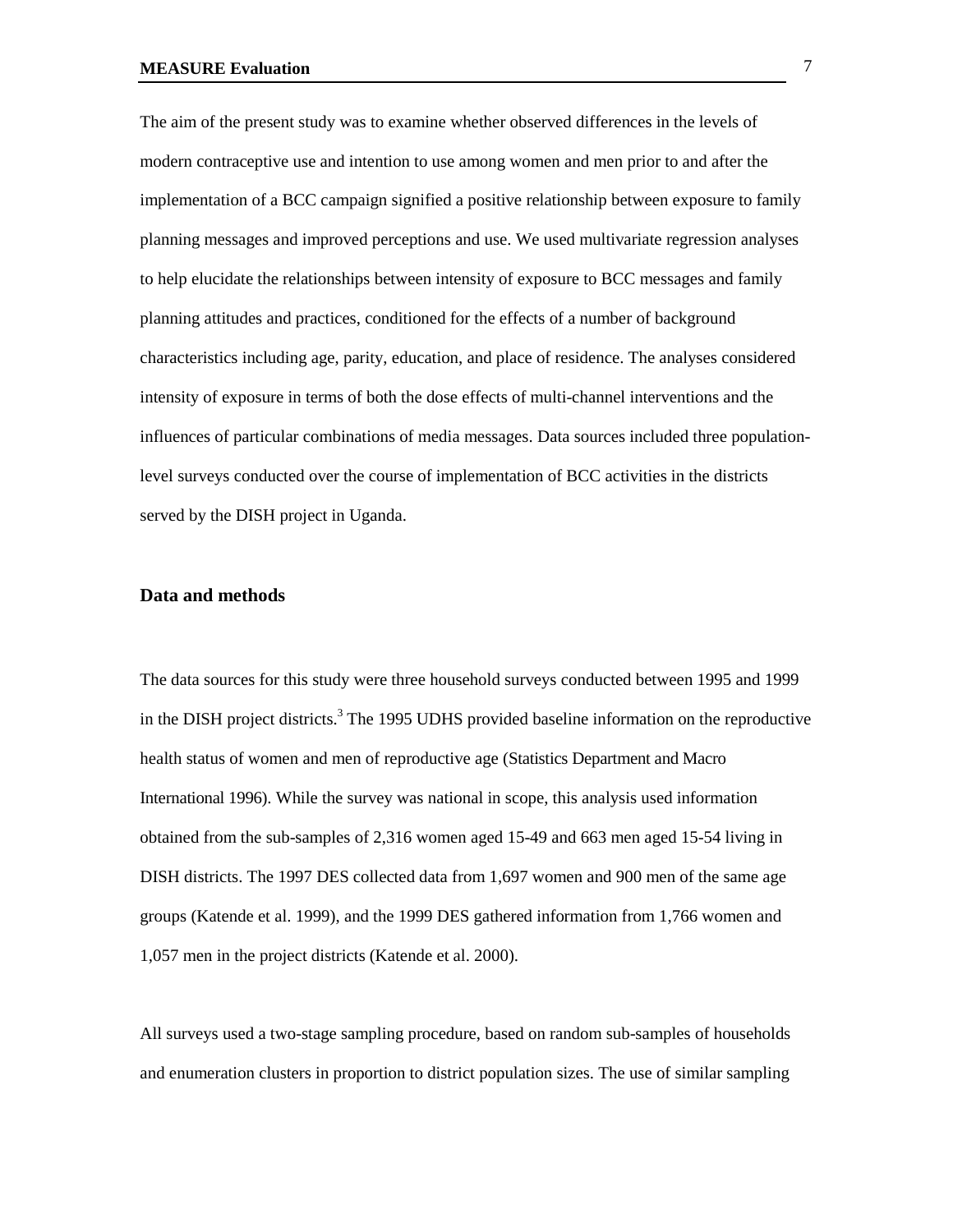The aim of the present study was to examine whether observed differences in the levels of modern contraceptive use and intention to use among women and men prior to and after the implementation of a BCC campaign signified a positive relationship between exposure to family planning messages and improved perceptions and use. We used multivariate regression analyses to help elucidate the relationships between intensity of exposure to BCC messages and family planning attitudes and practices, conditioned for the effects of a number of background characteristics including age, parity, education, and place of residence. The analyses considered intensity of exposure in terms of both the dose effects of multi-channel interventions and the influences of particular combinations of media messages. Data sources included three populationlevel surveys conducted over the course of implementation of BCC activities in the districts served by the DISH project in Uganda.

#### **Data and methods**

The data sources for this study were three household surveys conducted between 1995 and 1999 in the DISH project districts.<sup>3</sup> The 1995 UDHS provided baseline information on the reproductive health status of women and men of reproductive age (Statistics Department and Macro International 1996). While the survey was national in scope, this analysis used information obtained from the sub-samples of 2,316 women aged 15-49 and 663 men aged 15-54 living in DISH districts. The 1997 DES collected data from 1,697 women and 900 men of the same age groups (Katende et al. 1999), and the 1999 DES gathered information from 1,766 women and 1,057 men in the project districts (Katende et al. 2000).

All surveys used a two-stage sampling procedure, based on random sub-samples of households and enumeration clusters in proportion to district population sizes. The use of similar sampling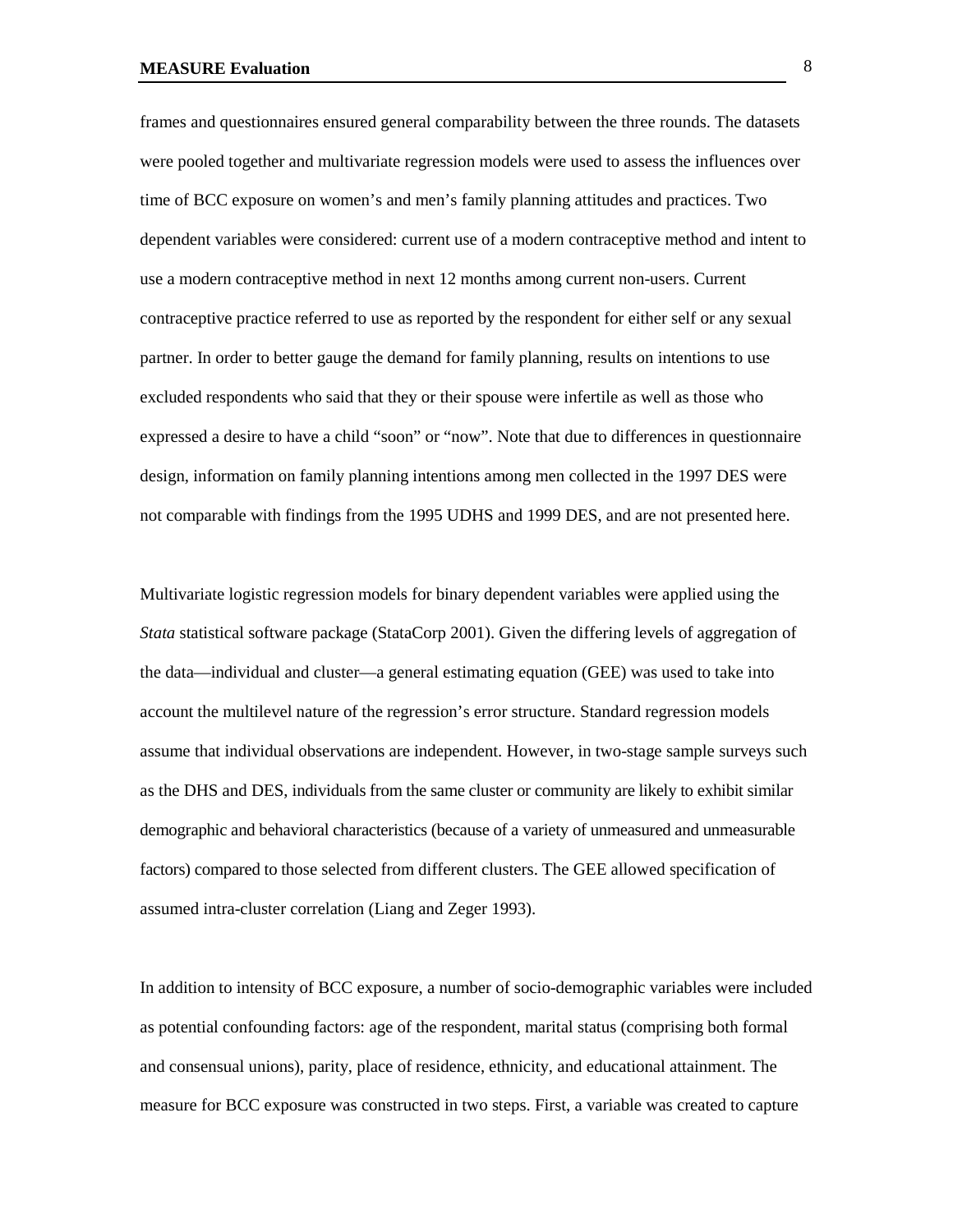frames and questionnaires ensured general comparability between the three rounds. The datasets were pooled together and multivariate regression models were used to assess the influences over time of BCC exposure on women's and men's family planning attitudes and practices. Two dependent variables were considered: current use of a modern contraceptive method and intent to use a modern contraceptive method in next 12 months among current non-users. Current contraceptive practice referred to use as reported by the respondent for either self or any sexual partner. In order to better gauge the demand for family planning, results on intentions to use excluded respondents who said that they or their spouse were infertile as well as those who expressed a desire to have a child "soon" or "now". Note that due to differences in questionnaire design, information on family planning intentions among men collected in the 1997 DES were not comparable with findings from the 1995 UDHS and 1999 DES, and are not presented here.

Multivariate logistic regression models for binary dependent variables were applied using the *Stata* statistical software package (StataCorp 2001). Given the differing levels of aggregation of the data—individual and cluster—a general estimating equation (GEE) was used to take into account the multilevel nature of the regression's error structure. Standard regression models assume that individual observations are independent. However, in two-stage sample surveys such as the DHS and DES, individuals from the same cluster or community are likely to exhibit similar demographic and behavioral characteristics (because of a variety of unmeasured and unmeasurable factors) compared to those selected from different clusters. The GEE allowed specification of assumed intra-cluster correlation (Liang and Zeger 1993).

In addition to intensity of BCC exposure, a number of socio-demographic variables were included as potential confounding factors: age of the respondent, marital status (comprising both formal and consensual unions), parity, place of residence, ethnicity, and educational attainment. The measure for BCC exposure was constructed in two steps. First, a variable was created to capture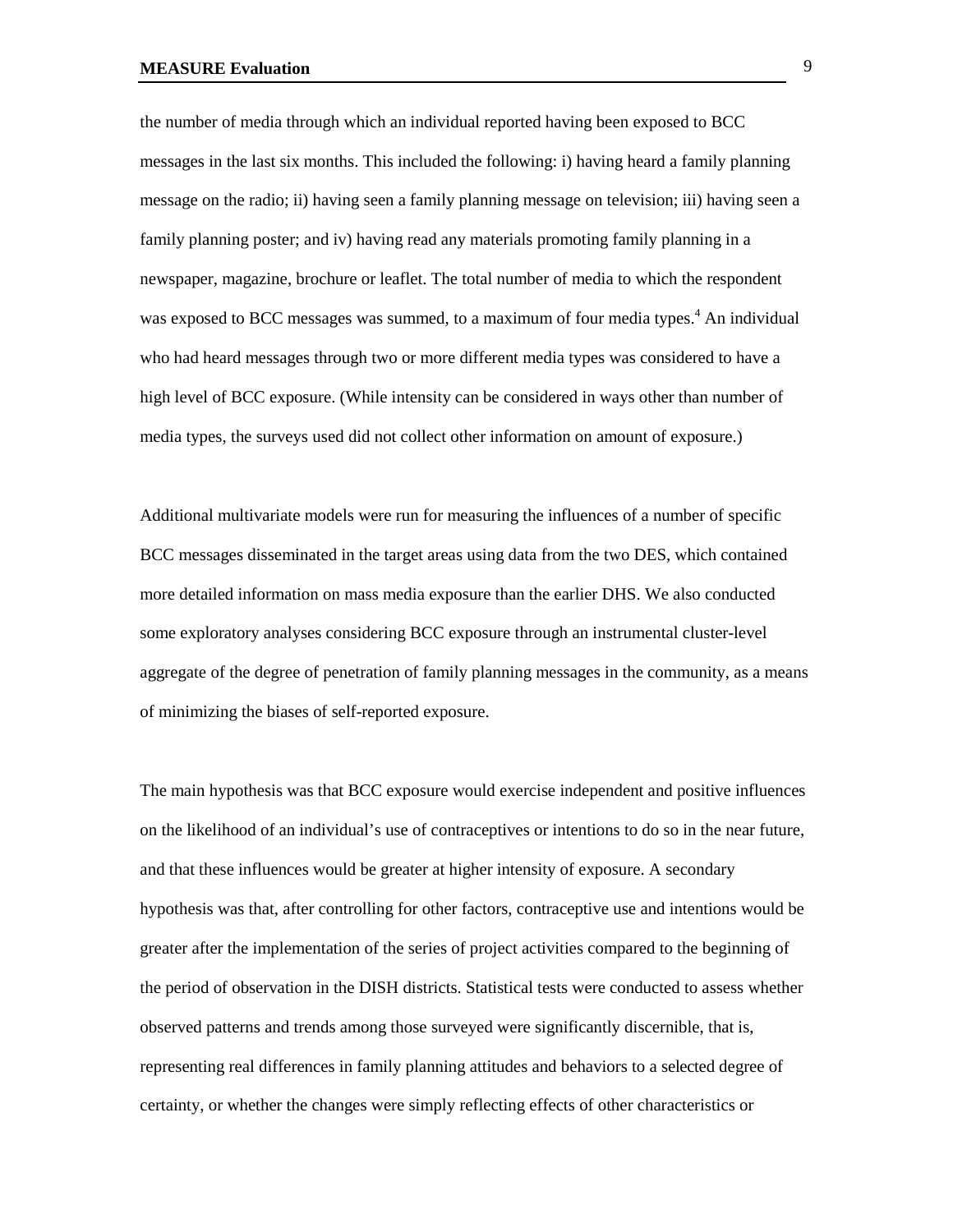the number of media through which an individual reported having been exposed to BCC messages in the last six months. This included the following: i) having heard a family planning message on the radio; ii) having seen a family planning message on television; iii) having seen a family planning poster; and iv) having read any materials promoting family planning in a newspaper, magazine, brochure or leaflet. The total number of media to which the respondent was exposed to BCC messages was summed, to a maximum of four media types.<sup>4</sup> An individual who had heard messages through two or more different media types was considered to have a high level of BCC exposure. (While intensity can be considered in ways other than number of media types, the surveys used did not collect other information on amount of exposure.)

Additional multivariate models were run for measuring the influences of a number of specific BCC messages disseminated in the target areas using data from the two DES, which contained more detailed information on mass media exposure than the earlier DHS. We also conducted some exploratory analyses considering BCC exposure through an instrumental cluster-level aggregate of the degree of penetration of family planning messages in the community, as a means of minimizing the biases of self-reported exposure.

The main hypothesis was that BCC exposure would exercise independent and positive influences on the likelihood of an individual's use of contraceptives or intentions to do so in the near future, and that these influences would be greater at higher intensity of exposure. A secondary hypothesis was that, after controlling for other factors, contraceptive use and intentions would be greater after the implementation of the series of project activities compared to the beginning of the period of observation in the DISH districts. Statistical tests were conducted to assess whether observed patterns and trends among those surveyed were significantly discernible, that is, representing real differences in family planning attitudes and behaviors to a selected degree of certainty, or whether the changes were simply reflecting effects of other characteristics or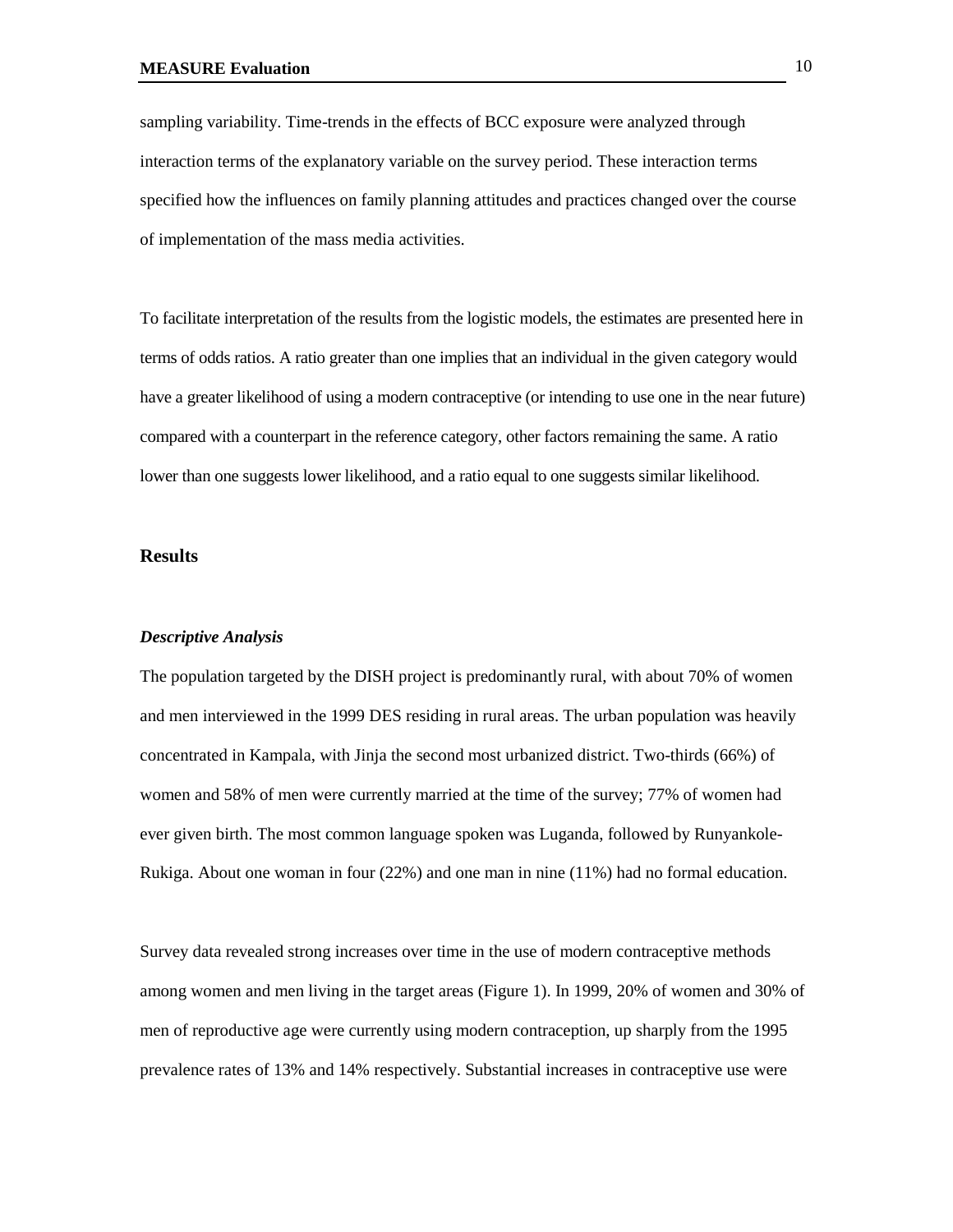sampling variability. Time-trends in the effects of BCC exposure were analyzed through interaction terms of the explanatory variable on the survey period. These interaction terms specified how the influences on family planning attitudes and practices changed over the course of implementation of the mass media activities.

To facilitate interpretation of the results from the logistic models, the estimates are presented here in terms of odds ratios. A ratio greater than one implies that an individual in the given category would have a greater likelihood of using a modern contraceptive (or intending to use one in the near future) compared with a counterpart in the reference category, other factors remaining the same. A ratio lower than one suggests lower likelihood, and a ratio equal to one suggests similar likelihood.

## **Results**

#### *Descriptive Analysis*

The population targeted by the DISH project is predominantly rural, with about 70% of women and men interviewed in the 1999 DES residing in rural areas. The urban population was heavily concentrated in Kampala, with Jinja the second most urbanized district. Two-thirds (66%) of women and 58% of men were currently married at the time of the survey; 77% of women had ever given birth. The most common language spoken was Luganda, followed by Runyankole-Rukiga. About one woman in four (22%) and one man in nine (11%) had no formal education.

Survey data revealed strong increases over time in the use of modern contraceptive methods among women and men living in the target areas (Figure 1). In 1999, 20% of women and 30% of men of reproductive age were currently using modern contraception, up sharply from the 1995 prevalence rates of 13% and 14% respectively. Substantial increases in contraceptive use were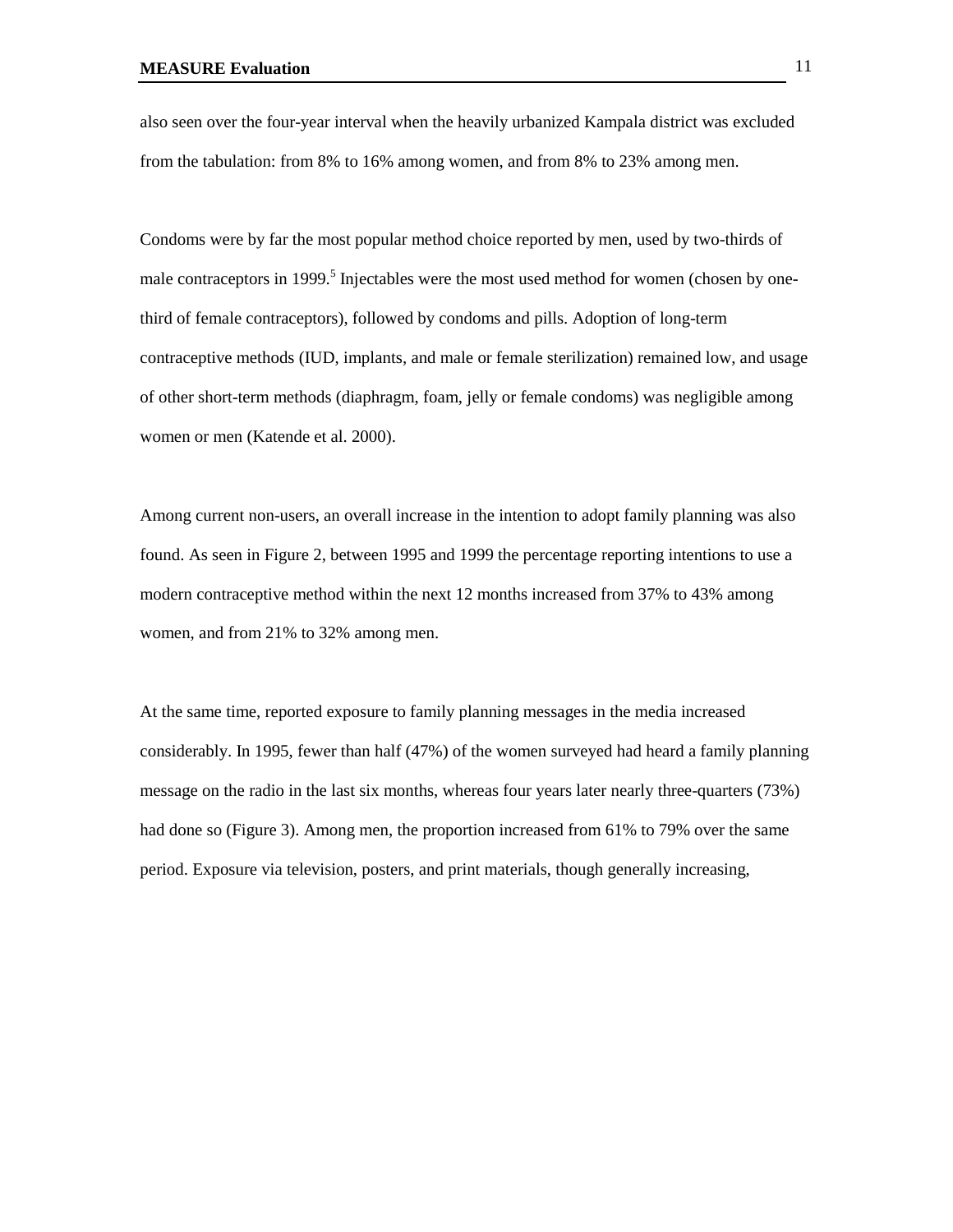also seen over the four-year interval when the heavily urbanized Kampala district was excluded from the tabulation: from 8% to 16% among women, and from 8% to 23% among men.

Condoms were by far the most popular method choice reported by men, used by two-thirds of male contraceptors in 1999.<sup>5</sup> Injectables were the most used method for women (chosen by onethird of female contraceptors), followed by condoms and pills. Adoption of long-term contraceptive methods (IUD, implants, and male or female sterilization) remained low, and usage of other short-term methods (diaphragm, foam, jelly or female condoms) was negligible among women or men (Katende et al. 2000).

Among current non-users, an overall increase in the intention to adopt family planning was also found. As seen in Figure 2, between 1995 and 1999 the percentage reporting intentions to use a modern contraceptive method within the next 12 months increased from 37% to 43% among women, and from 21% to 32% among men.

At the same time, reported exposure to family planning messages in the media increased considerably. In 1995, fewer than half (47%) of the women surveyed had heard a family planning message on the radio in the last six months, whereas four years later nearly three-quarters (73%) had done so (Figure 3). Among men, the proportion increased from 61% to 79% over the same period. Exposure via television, posters, and print materials, though generally increasing,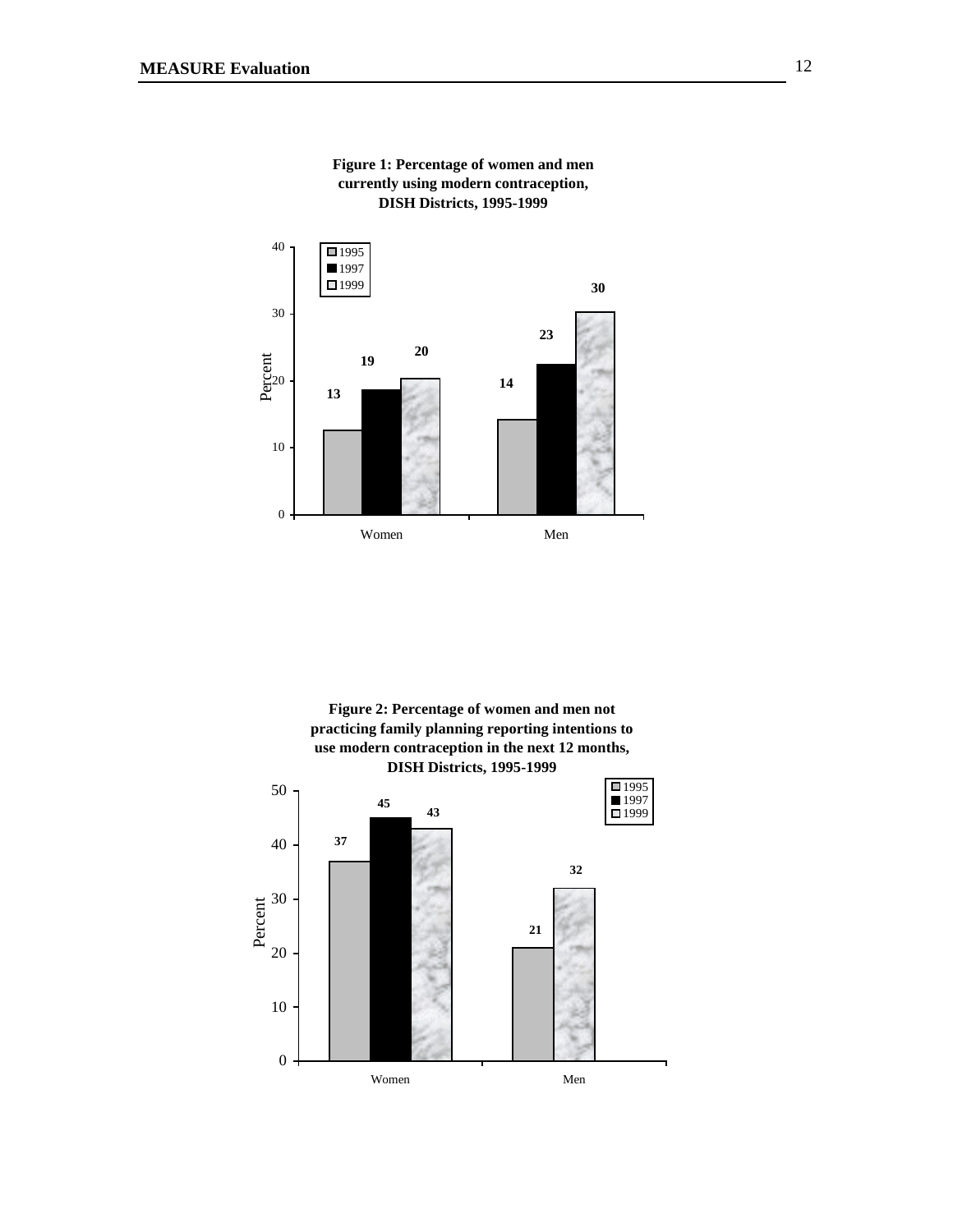





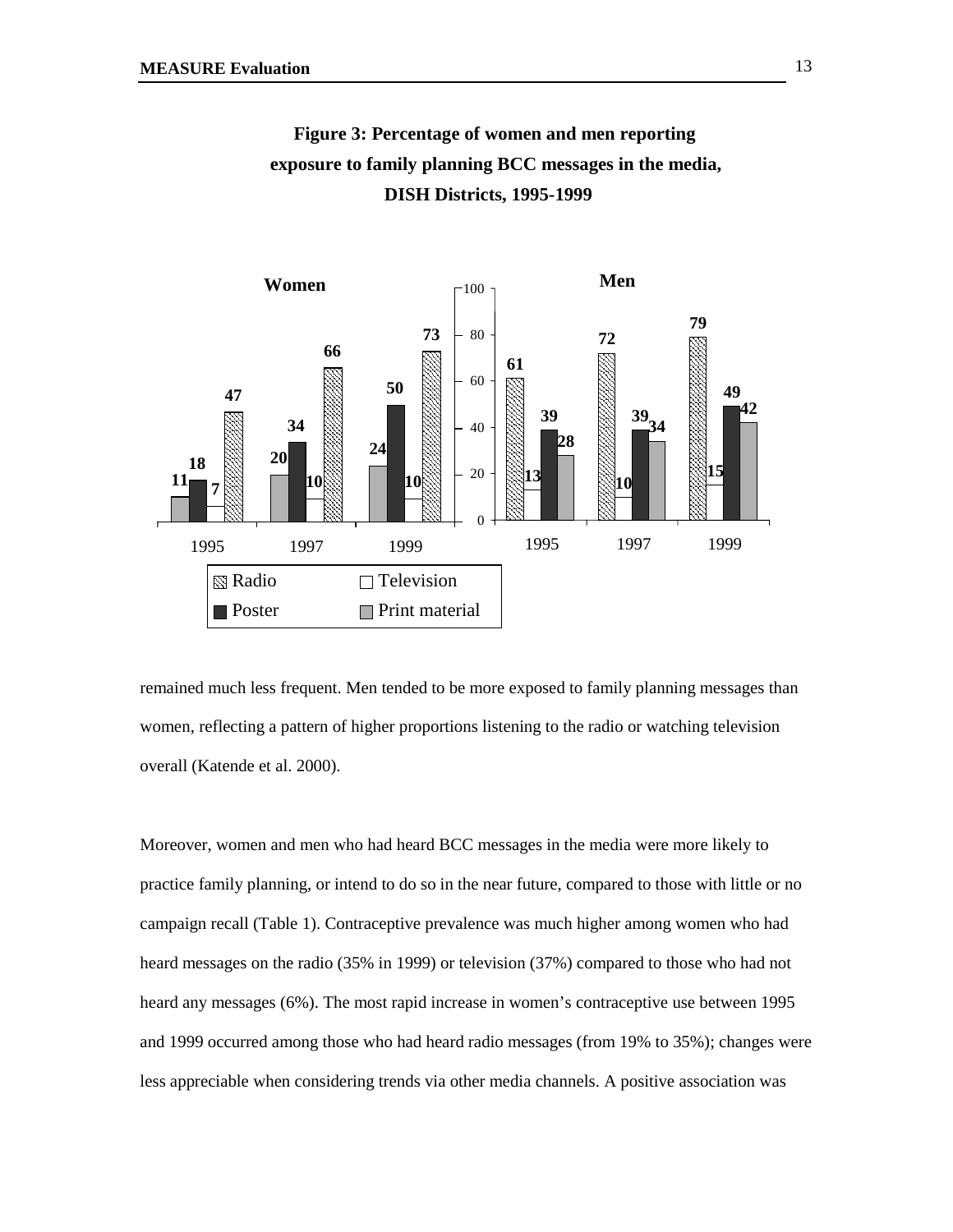

**Figure 3: Percentage of women and men reporting exposure to family planning BCC messages in the media, DISH Districts, 1995-1999**

remained much less frequent. Men tended to be more exposed to family planning messages than women, reflecting a pattern of higher proportions listening to the radio or watching television overall (Katende et al. 2000).

Moreover, women and men who had heard BCC messages in the media were more likely to practice family planning, or intend to do so in the near future, compared to those with little or no campaign recall (Table 1). Contraceptive prevalence was much higher among women who had heard messages on the radio (35% in 1999) or television (37%) compared to those who had not heard any messages (6%). The most rapid increase in women's contraceptive use between 1995 and 1999 occurred among those who had heard radio messages (from 19% to 35%); changes were less appreciable when considering trends via other media channels. A positive association was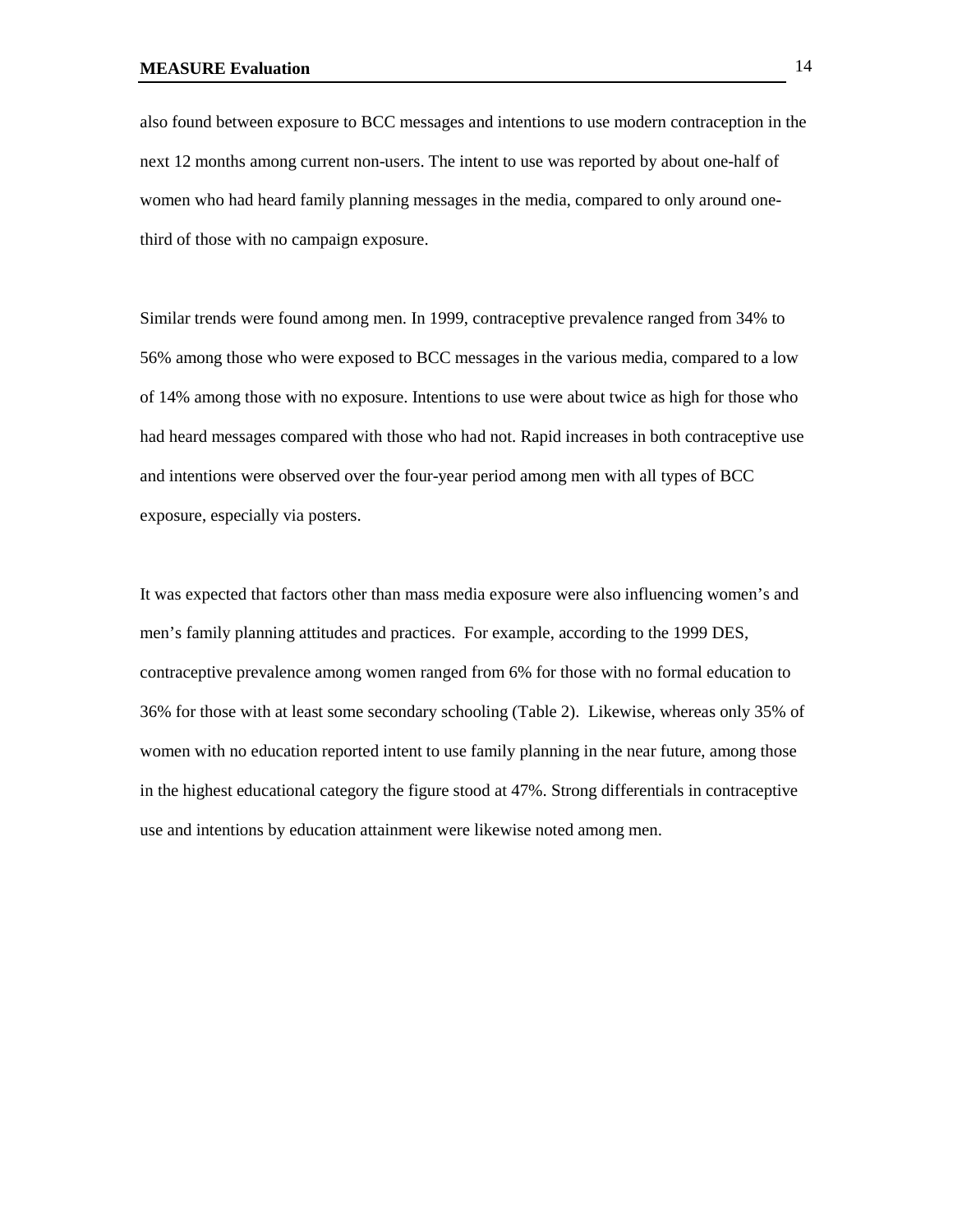also found between exposure to BCC messages and intentions to use modern contraception in the next 12 months among current non-users. The intent to use was reported by about one-half of women who had heard family planning messages in the media, compared to only around onethird of those with no campaign exposure.

Similar trends were found among men. In 1999, contraceptive prevalence ranged from 34% to 56% among those who were exposed to BCC messages in the various media, compared to a low of 14% among those with no exposure. Intentions to use were about twice as high for those who had heard messages compared with those who had not. Rapid increases in both contraceptive use and intentions were observed over the four-year period among men with all types of BCC exposure, especially via posters.

It was expected that factors other than mass media exposure were also influencing women's and men's family planning attitudes and practices. For example, according to the 1999 DES, contraceptive prevalence among women ranged from 6% for those with no formal education to 36% for those with at least some secondary schooling (Table 2). Likewise, whereas only 35% of women with no education reported intent to use family planning in the near future, among those in the highest educational category the figure stood at 47%. Strong differentials in contraceptive use and intentions by education attainment were likewise noted among men.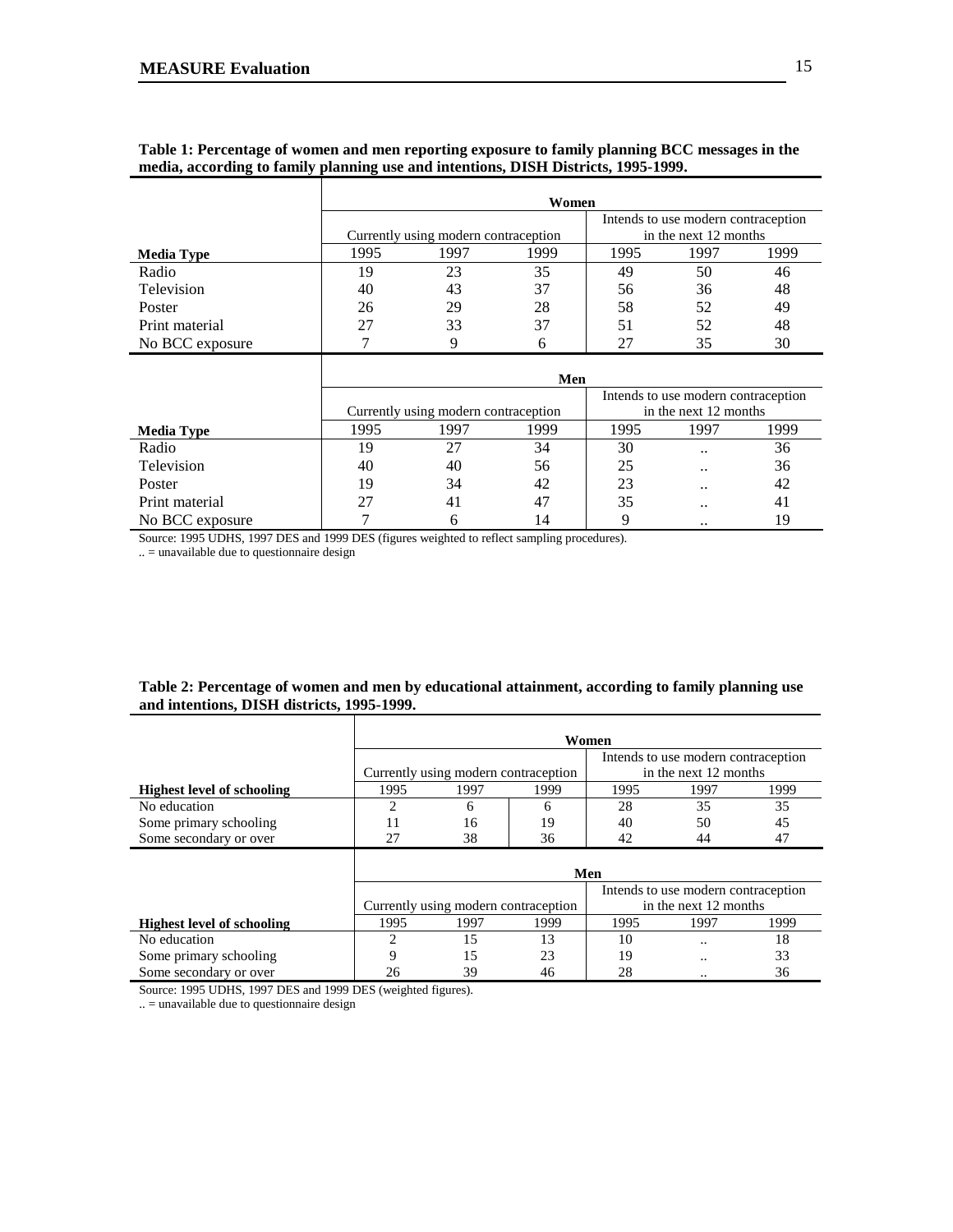|                   |      |                                      | Women |      |                                                              |      |
|-------------------|------|--------------------------------------|-------|------|--------------------------------------------------------------|------|
|                   |      | Currently using modern contraception |       |      | Intends to use modern contraception<br>in the next 12 months |      |
| <b>Media Type</b> | 1995 | 1997                                 | 1999  | 1995 | 1997                                                         | 1999 |
| Radio             | 19   | 23                                   | 35    | 49   | 50                                                           | 46   |
| Television        | 40   | 43                                   | 37    | 56   | 36                                                           | 48   |
| Poster            | 26   | 29                                   | 28    | 58   | 52                                                           | 49   |
| Print material    | 27   | 33                                   | 37    | 51   | 52                                                           | 48   |
| No BCC exposure   |      |                                      | 6     |      | 35                                                           | 30   |

### **Table 1: Percentage of women and men reporting exposure to family planning BCC messages in the media, according to family planning use and intentions, DISH Districts, 1995-1999.**

|                   |      |                                      | Men  |                       |                                     |      |  |
|-------------------|------|--------------------------------------|------|-----------------------|-------------------------------------|------|--|
|                   |      |                                      |      |                       | Intends to use modern contraception |      |  |
|                   |      | Currently using modern contraception |      | in the next 12 months |                                     |      |  |
| <b>Media Type</b> | 1995 | 1997                                 | 1999 | 1995                  | 1997                                | 1999 |  |
| Radio             | 19   |                                      | 34   | 30                    | $\cdot$ .                           | 36   |  |
| Television        | 40   | 40                                   | 56   | 25                    |                                     | 36   |  |
| Poster            | 19   | 34                                   | 42   | 23                    |                                     | 42   |  |
| Print material    | 27   | 41                                   | 47   | 35                    |                                     | 41   |  |
| No BCC exposure   |      |                                      | 14   |                       |                                     | 19   |  |

Source: 1995 UDHS, 1997 DES and 1999 DES (figures weighted to reflect sampling procedures).

 $\overline{\phantom{a}}$ 

.. = unavailable due to questionnaire design

#### **Table 2: Percentage of women and men by educational attainment, according to family planning use and intentions, DISH districts, 1995-1999.**

|                                   | Women |                                      |      |                                     |                                     |      |
|-----------------------------------|-------|--------------------------------------|------|-------------------------------------|-------------------------------------|------|
|                                   |       |                                      |      | Intends to use modern contraception |                                     |      |
|                                   |       | Currently using modern contraception |      | in the next 12 months               |                                     |      |
| <b>Highest level of schooling</b> | 1995  | 1997                                 | 1999 | 1995                                | 1997                                | 1999 |
| No education                      | 2     | 6                                    | 6    | 28                                  | 35                                  | 35   |
| Some primary schooling            | 11    | 16                                   | 19   | 40                                  | 50                                  | 45   |
| Some secondary or over            | 27    | 38                                   | 36   | 42                                  | 44                                  | 47   |
|                                   |       |                                      | Men  |                                     |                                     |      |
|                                   |       |                                      |      |                                     | Intends to use modern contraception |      |
|                                   |       | Currently using modern contraception |      |                                     | in the next 12 months               |      |
| <b>Highest level of schooling</b> | 1995  | 1997                                 | 1999 | 1995                                | 1997                                | 1999 |
| No education                      | 2     | 15                                   | 13   | 10                                  |                                     | 18   |
| Some primary schooling            | 9     | 15                                   | 23   | 19                                  |                                     | 33   |
| Some secondary or over            | 26    | 39                                   | 46   | 28                                  |                                     | 36   |

Source: 1995 UDHS, 1997 DES and 1999 DES (weighted figures).

.. = unavailable due to questionnaire design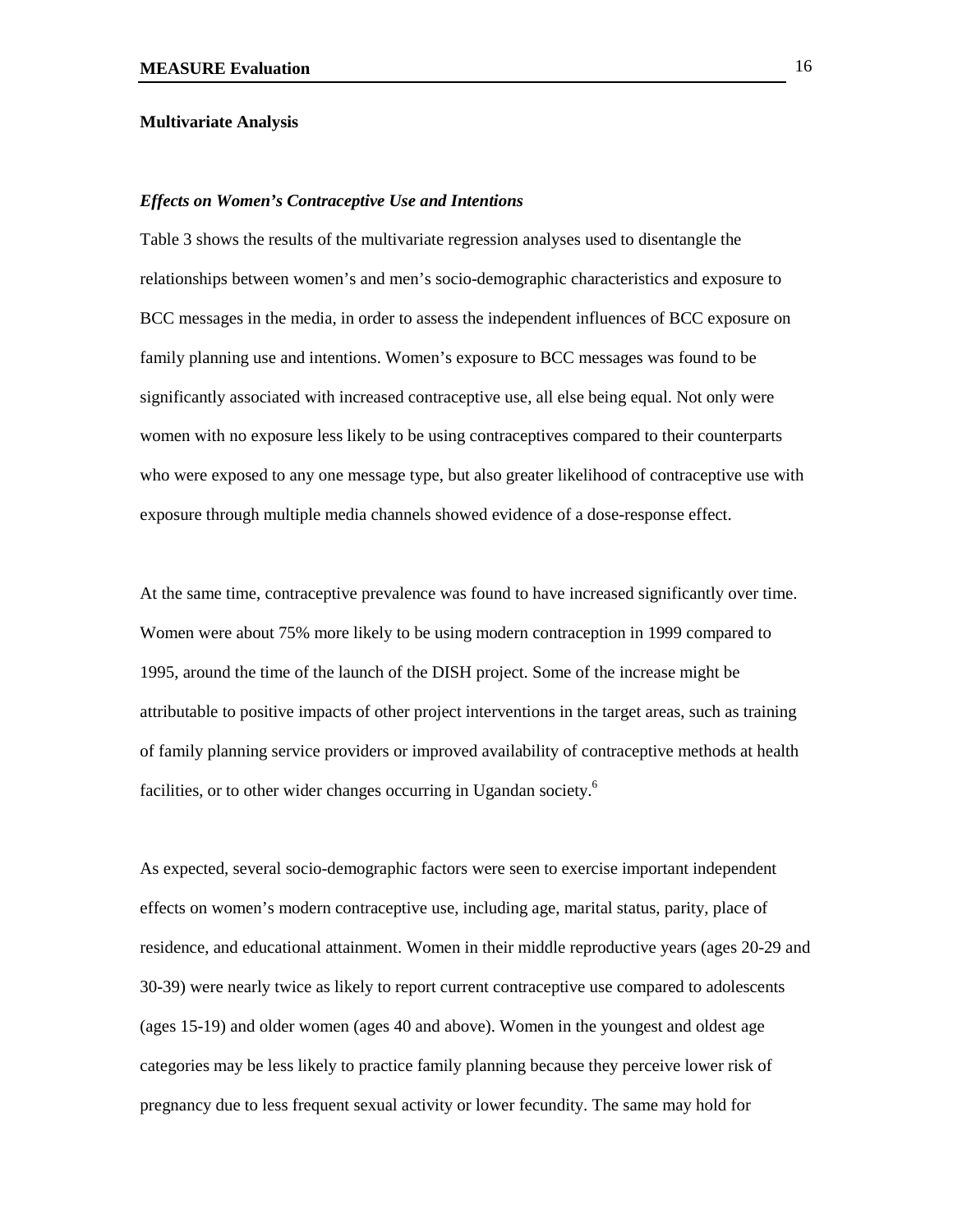#### **Multivariate Analysis**

#### *Effects on Women's Contraceptive Use and Intentions*

Table 3 shows the results of the multivariate regression analyses used to disentangle the relationships between women's and men's socio-demographic characteristics and exposure to BCC messages in the media, in order to assess the independent influences of BCC exposure on family planning use and intentions. Women's exposure to BCC messages was found to be significantly associated with increased contraceptive use, all else being equal. Not only were women with no exposure less likely to be using contraceptives compared to their counterparts who were exposed to any one message type, but also greater likelihood of contraceptive use with exposure through multiple media channels showed evidence of a dose-response effect.

At the same time, contraceptive prevalence was found to have increased significantly over time. Women were about 75% more likely to be using modern contraception in 1999 compared to 1995, around the time of the launch of the DISH project. Some of the increase might be attributable to positive impacts of other project interventions in the target areas, such as training of family planning service providers or improved availability of contraceptive methods at health facilities, or to other wider changes occurring in Ugandan society.<sup>6</sup>

As expected, several socio-demographic factors were seen to exercise important independent effects on women's modern contraceptive use, including age, marital status, parity, place of residence, and educational attainment. Women in their middle reproductive years (ages 20-29 and 30-39) were nearly twice as likely to report current contraceptive use compared to adolescents (ages 15-19) and older women (ages 40 and above). Women in the youngest and oldest age categories may be less likely to practice family planning because they perceive lower risk of pregnancy due to less frequent sexual activity or lower fecundity. The same may hold for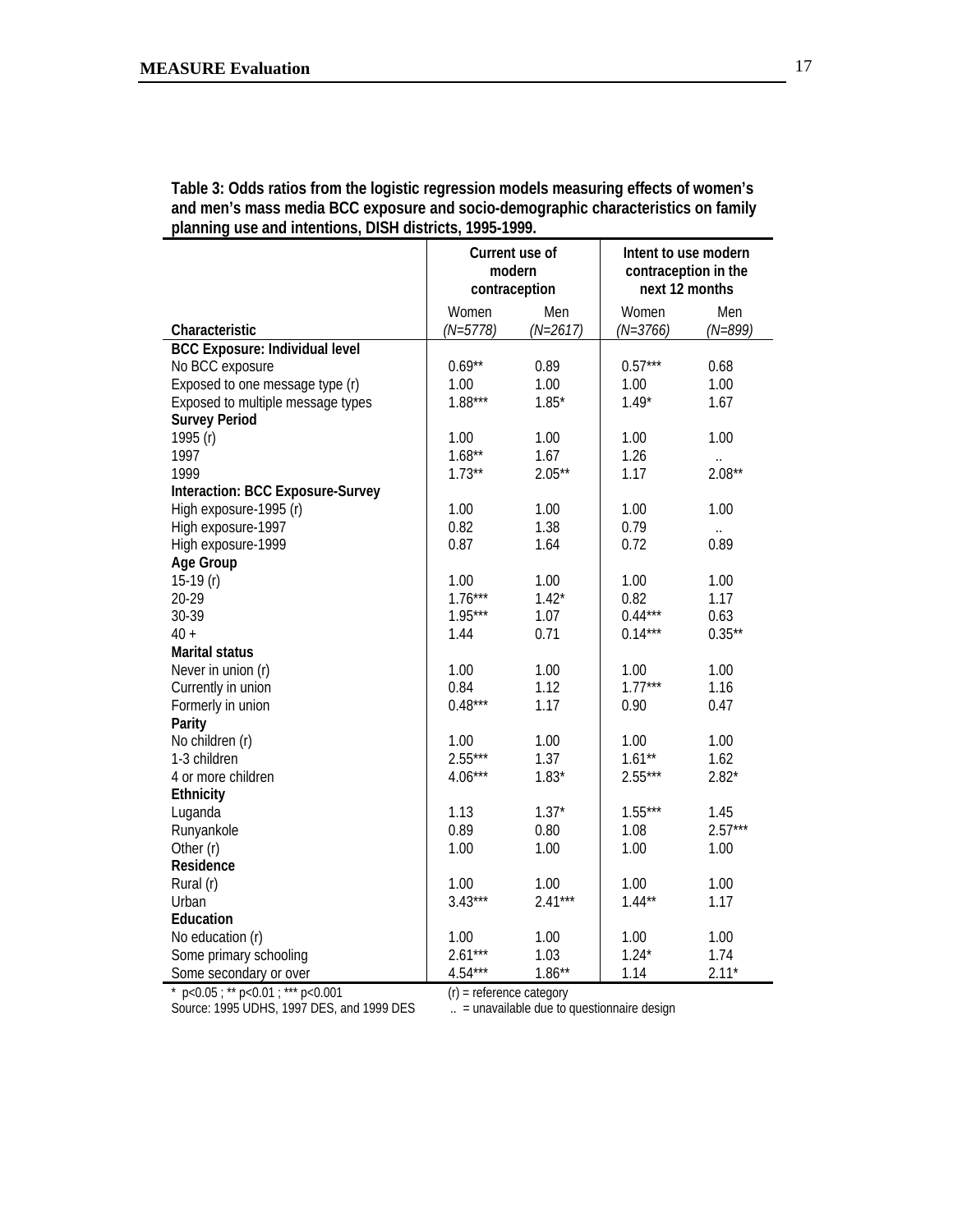| Table 3: Odds ratios from the logistic regression models measuring effects of women's<br>and men's mass media BCC exposure and socio-demographic characteristics on family<br>planning use and intentions, DISH districts, 1995-1999. |  |  |  |
|---------------------------------------------------------------------------------------------------------------------------------------------------------------------------------------------------------------------------------------|--|--|--|
|                                                                                                                                                                                                                                       |  |  |  |

|                                       | Current use of<br>modern<br>contraception |                   | Intent to use modern<br>contraception in the<br>next 12 months |                    |
|---------------------------------------|-------------------------------------------|-------------------|----------------------------------------------------------------|--------------------|
| Characteristic                        | Women<br>$(N=5778)$                       | Men<br>$(N=2617)$ | Women<br>$(N=3766)$                                            | Men<br>$(N = 899)$ |
| <b>BCC Exposure: Individual level</b> |                                           |                   |                                                                |                    |
| No BCC exposure                       | $0.69**$                                  | 0.89              | $0.57***$                                                      | 0.68               |
| Exposed to one message type (r)       | 1.00                                      | 1.00              | 1.00                                                           | 1.00               |
| Exposed to multiple message types     | $1.88***$                                 | $1.85*$           | $1.49*$                                                        | 1.67               |
| <b>Survey Period</b>                  |                                           |                   |                                                                |                    |
| 1995 (r)                              | 1.00                                      | 1.00              | 1.00                                                           | 1.00               |
| 1997                                  | $1.68**$                                  | 1.67              | 1.26                                                           |                    |
| 1999                                  | $1.73**$                                  | $2.05**$          | 1.17                                                           | $2.08**$           |
| Interaction: BCC Exposure-Survey      |                                           |                   |                                                                |                    |
| High exposure-1995 (r)                | 1.00                                      | 1.00              | 1.00                                                           | 1.00               |
| High exposure-1997                    | 0.82                                      | 1.38              | 0.79                                                           |                    |
| High exposure-1999                    | 0.87                                      | 1.64              | 0.72                                                           | 0.89               |
| Age Group                             |                                           |                   |                                                                |                    |
| 15-19 $(r)$                           | 1.00                                      | 1.00              | 1.00                                                           | 1.00               |
| 20-29                                 | $1.76***$                                 | $1.42*$           | 0.82                                                           | 1.17               |
| 30-39                                 | $1.95***$                                 | 1.07              | $0.44***$                                                      | 0.63               |
| $40 +$                                | 1.44                                      | 0.71              | $0.14***$                                                      | $0.35***$          |
| <b>Marital status</b>                 |                                           |                   |                                                                |                    |
| Never in union (r)                    | 1.00                                      | 1.00              | 1.00                                                           | 1.00               |
| Currently in union                    | 0.84                                      | 1.12              | $1.77***$                                                      | 1.16               |
| Formerly in union                     | $0.48***$                                 | 1.17              | 0.90                                                           | 0.47               |
| Parity                                |                                           |                   |                                                                |                    |
| No children (r)                       | 1.00                                      | 1.00              | 1.00                                                           | 1.00               |
| 1-3 children                          | $2.55***$                                 | 1.37              | $1.61**$                                                       | 1.62               |
| 4 or more children                    | $4.06***$                                 | $1.83*$           | $2.55***$                                                      | $2.82*$            |
| Ethnicity                             |                                           |                   |                                                                |                    |
| Luganda                               | 1.13                                      | $1.37*$           | $1.55***$                                                      | 1.45               |
| Runyankole                            | 0.89                                      | 0.80              | 1.08                                                           | $2.57***$          |
| Other (r)                             | 1.00                                      | 1.00              | 1.00                                                           | 1.00               |
| Residence                             |                                           |                   |                                                                |                    |
| Rural (r)                             | 1.00                                      | 1.00              | 1.00                                                           | 1.00               |
| Urban                                 | $3.43***$                                 | $2.41***$         | $1.44**$                                                       | 1.17               |
| Education                             |                                           |                   |                                                                |                    |
| No education (r)                      | 1.00                                      | 1.00              | 1.00                                                           | 1.00               |
| Some primary schooling                | $2.61***$                                 | 1.03              | $1.24*$                                                        | 1.74               |
| Some secondary or over                | $4.54***$                                 | $1.86**$          | 1.14                                                           | $2.11*$            |

\*  $p$ <0.05; \*\*  $p$ <0.01; \*\*\*  $p$ <0.001 (r) = reference category

Source: 1995 UDHS, 1997 DES, and 1999 DES ... = unavailable due to questionnaire design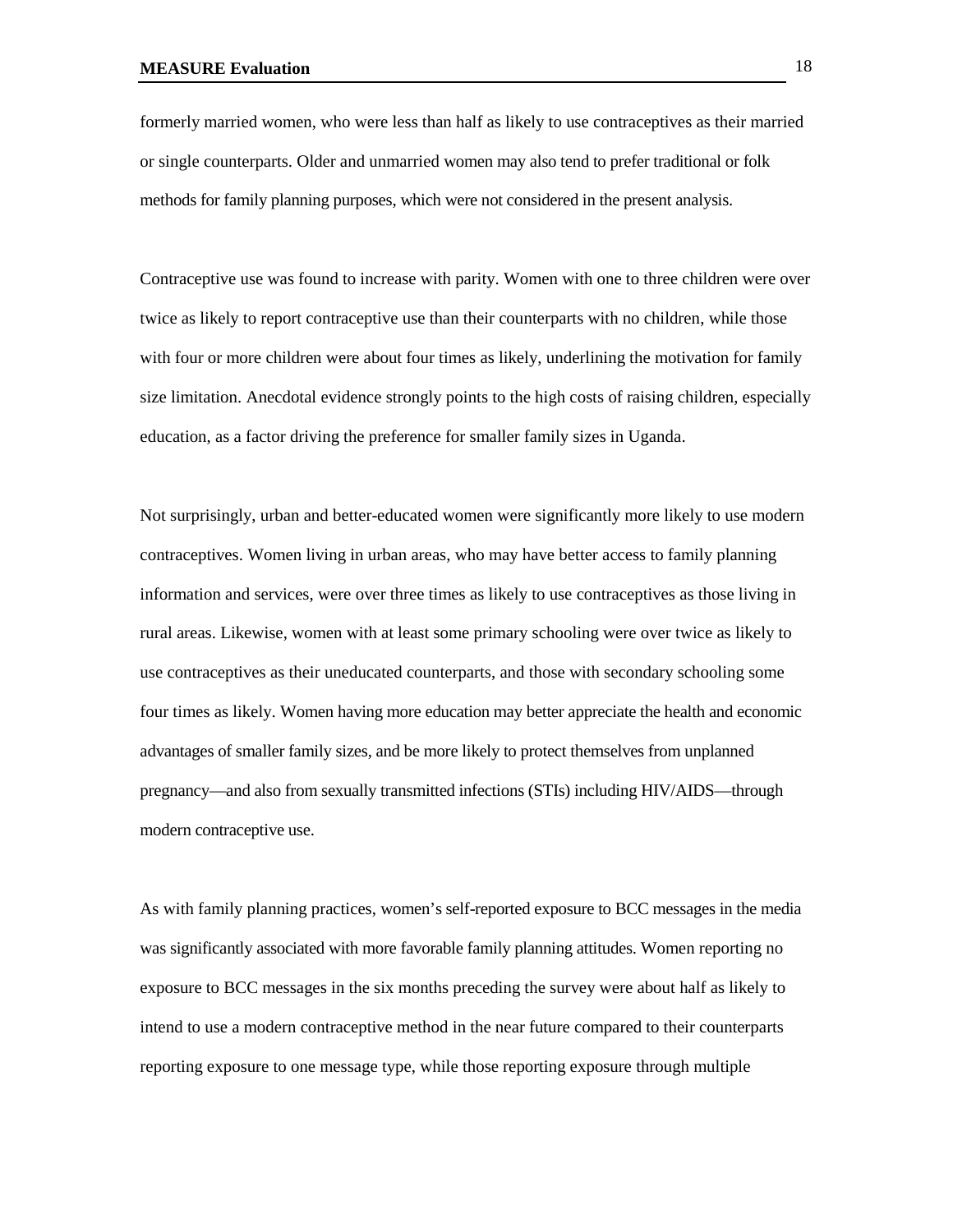formerly married women, who were less than half as likely to use contraceptives as their married or single counterparts. Older and unmarried women may also tend to prefer traditional or folk methods for family planning purposes, which were not considered in the present analysis.

Contraceptive use was found to increase with parity. Women with one to three children were over twice as likely to report contraceptive use than their counterparts with no children, while those with four or more children were about four times as likely, underlining the motivation for family size limitation. Anecdotal evidence strongly points to the high costs of raising children, especially education, as a factor driving the preference for smaller family sizes in Uganda.

Not surprisingly, urban and better-educated women were significantly more likely to use modern contraceptives. Women living in urban areas, who may have better access to family planning information and services, were over three times as likely to use contraceptives as those living in rural areas. Likewise, women with at least some primary schooling were over twice as likely to use contraceptives as their uneducated counterparts, and those with secondary schooling some four times as likely. Women having more education may better appreciate the health and economic advantages of smaller family sizes, and be more likely to protect themselves from unplanned pregnancy—and also from sexually transmitted infections (STIs) including HIV/AIDS—through modern contraceptive use.

As with family planning practices, women's self-reported exposure to BCC messages in the media was significantly associated with more favorable family planning attitudes. Women reporting no exposure to BCC messages in the six months preceding the survey were about half as likely to intend to use a modern contraceptive method in the near future compared to their counterparts reporting exposure to one message type, while those reporting exposure through multiple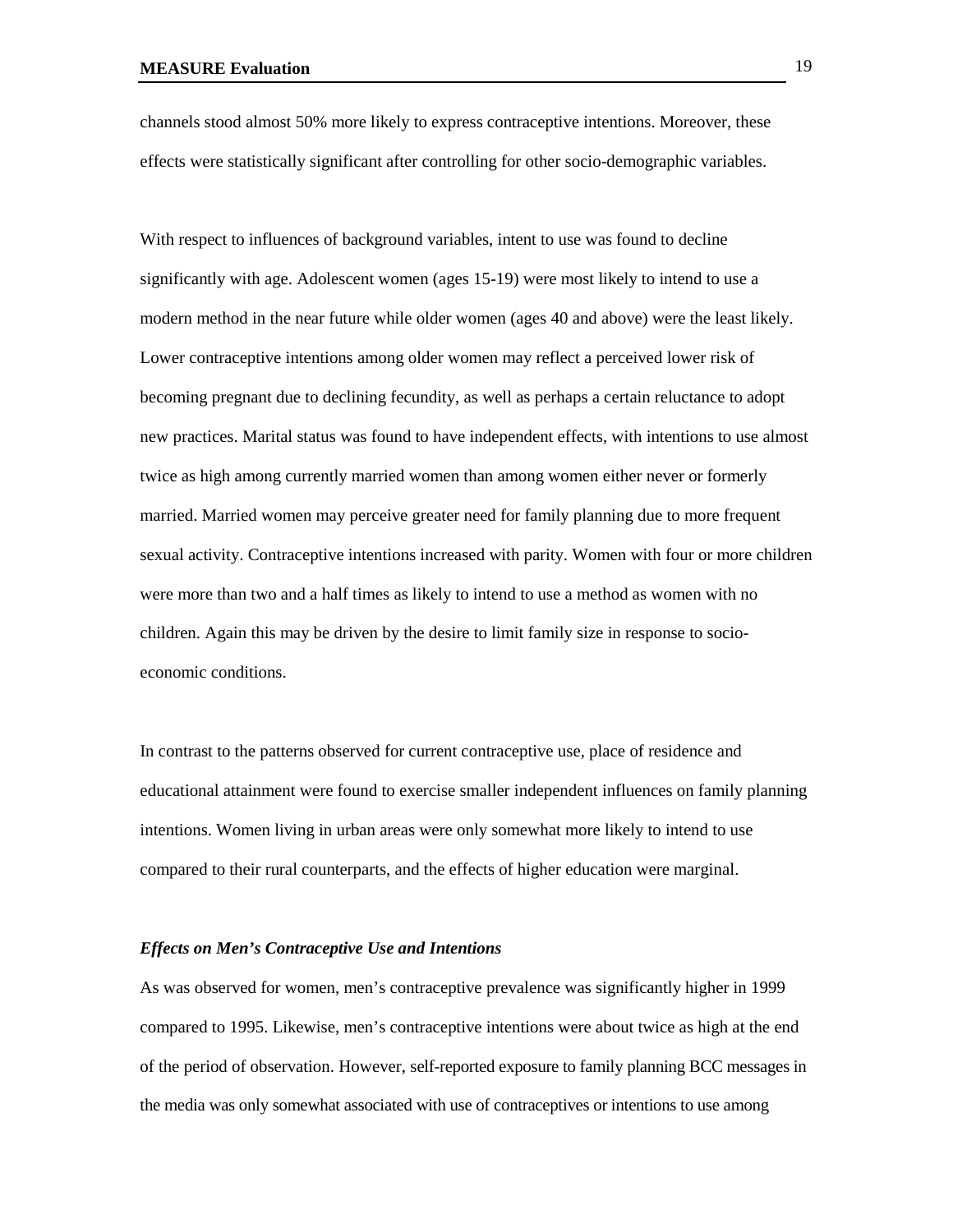channels stood almost 50% more likely to express contraceptive intentions. Moreover, these effects were statistically significant after controlling for other socio-demographic variables.

With respect to influences of background variables, intent to use was found to decline significantly with age. Adolescent women (ages 15-19) were most likely to intend to use a modern method in the near future while older women (ages 40 and above) were the least likely. Lower contraceptive intentions among older women may reflect a perceived lower risk of becoming pregnant due to declining fecundity, as well as perhaps a certain reluctance to adopt new practices. Marital status was found to have independent effects, with intentions to use almost twice as high among currently married women than among women either never or formerly married. Married women may perceive greater need for family planning due to more frequent sexual activity. Contraceptive intentions increased with parity. Women with four or more children were more than two and a half times as likely to intend to use a method as women with no children. Again this may be driven by the desire to limit family size in response to socioeconomic conditions.

In contrast to the patterns observed for current contraceptive use, place of residence and educational attainment were found to exercise smaller independent influences on family planning intentions. Women living in urban areas were only somewhat more likely to intend to use compared to their rural counterparts, and the effects of higher education were marginal.

### *Effects on Men's Contraceptive Use and Intentions*

As was observed for women, men's contraceptive prevalence was significantly higher in 1999 compared to 1995. Likewise, men's contraceptive intentions were about twice as high at the end of the period of observation. However, self-reported exposure to family planning BCC messages in the media was only somewhat associated with use of contraceptives or intentions to use among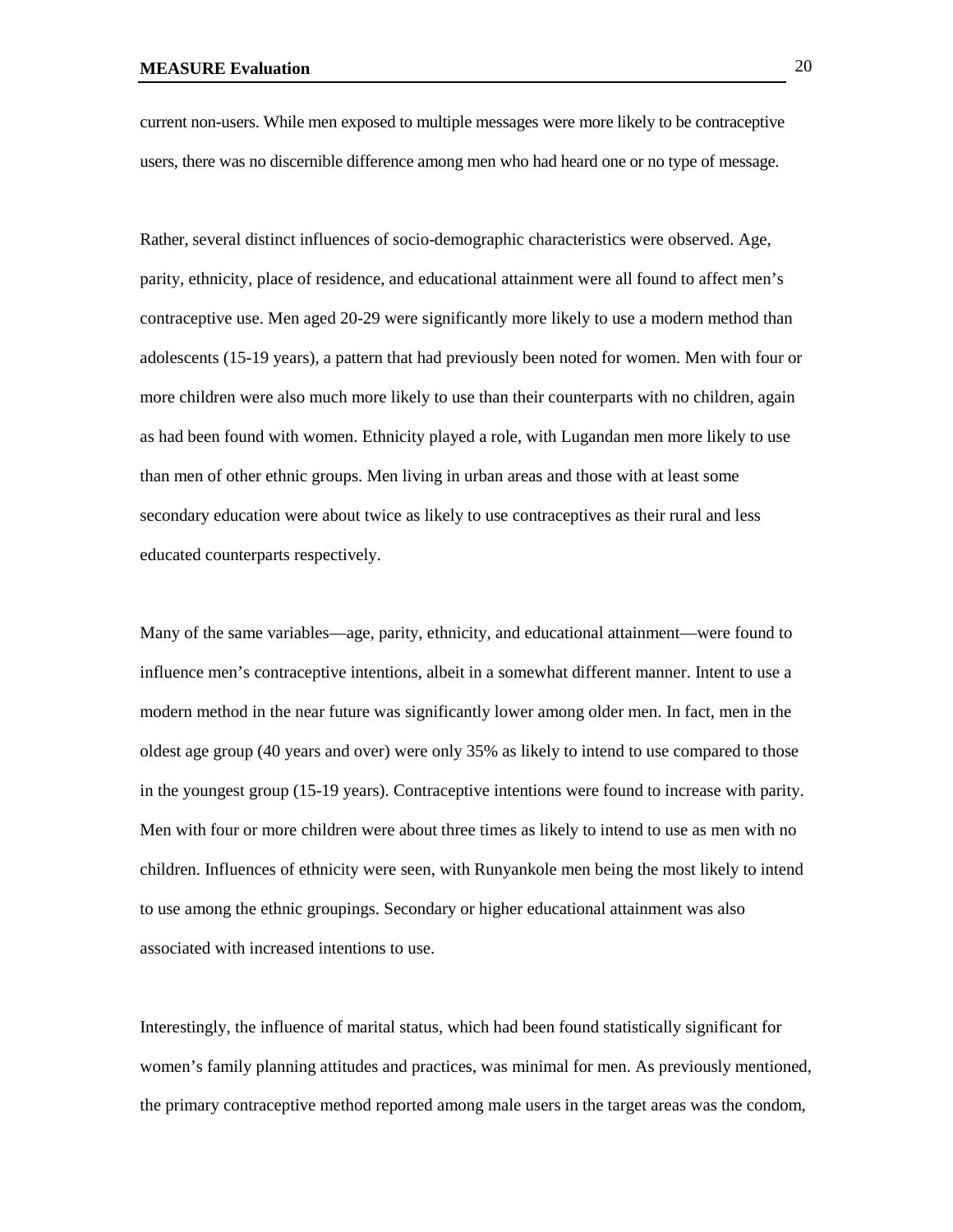current non-users. While men exposed to multiple messages were more likely to be contraceptive users, there was no discernible difference among men who had heard one or no type of message.

Rather, several distinct influences of socio-demographic characteristics were observed. Age, parity, ethnicity, place of residence, and educational attainment were all found to affect men's contraceptive use. Men aged 20-29 were significantly more likely to use a modern method than adolescents (15-19 years), a pattern that had previously been noted for women. Men with four or more children were also much more likely to use than their counterparts with no children, again as had been found with women. Ethnicity played a role, with Lugandan men more likely to use than men of other ethnic groups. Men living in urban areas and those with at least some secondary education were about twice as likely to use contraceptives as their rural and less educated counterparts respectively.

Many of the same variables—age, parity, ethnicity, and educational attainment—were found to influence men's contraceptive intentions, albeit in a somewhat different manner. Intent to use a modern method in the near future was significantly lower among older men. In fact, men in the oldest age group (40 years and over) were only 35% as likely to intend to use compared to those in the youngest group (15-19 years). Contraceptive intentions were found to increase with parity. Men with four or more children were about three times as likely to intend to use as men with no children. Influences of ethnicity were seen, with Runyankole men being the most likely to intend to use among the ethnic groupings. Secondary or higher educational attainment was also associated with increased intentions to use.

Interestingly, the influence of marital status, which had been found statistically significant for women's family planning attitudes and practices, was minimal for men. As previously mentioned, the primary contraceptive method reported among male users in the target areas was the condom,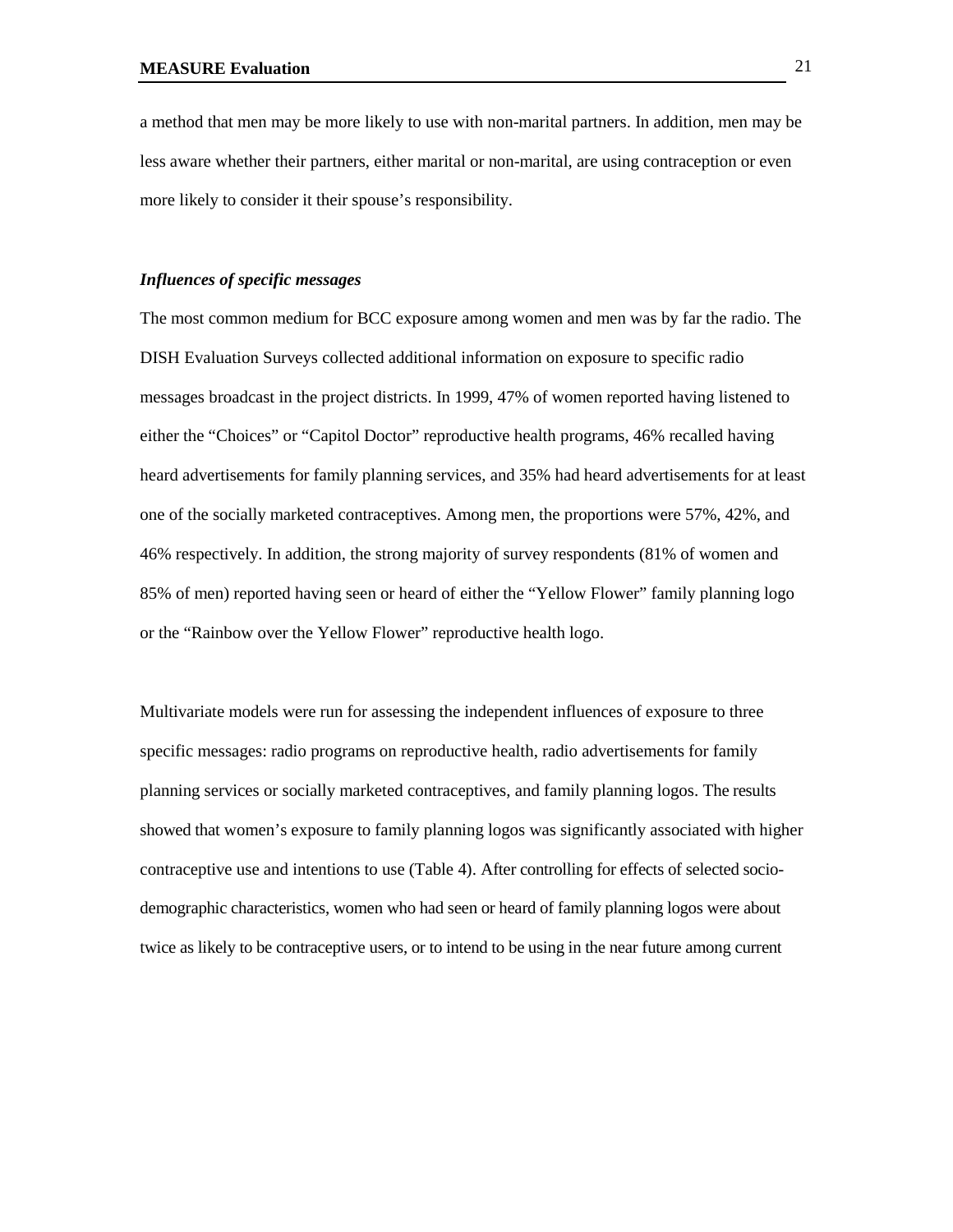a method that men may be more likely to use with non-marital partners. In addition, men may be less aware whether their partners, either marital or non-marital, are using contraception or even more likely to consider it their spouse's responsibility.

#### *Influences of specific messages*

The most common medium for BCC exposure among women and men was by far the radio. The DISH Evaluation Surveys collected additional information on exposure to specific radio messages broadcast in the project districts. In 1999, 47% of women reported having listened to either the "Choices" or "Capitol Doctor" reproductive health programs, 46% recalled having heard advertisements for family planning services, and 35% had heard advertisements for at least one of the socially marketed contraceptives. Among men, the proportions were 57%, 42%, and 46% respectively. In addition, the strong majority of survey respondents (81% of women and 85% of men) reported having seen or heard of either the "Yellow Flower" family planning logo or the "Rainbow over the Yellow Flower" reproductive health logo.

Multivariate models were run for assessing the independent influences of exposure to three specific messages: radio programs on reproductive health, radio advertisements for family planning services or socially marketed contraceptives, and family planning logos. The results showed that women's exposure to family planning logos was significantly associated with higher contraceptive use and intentions to use (Table 4). After controlling for effects of selected sociodemographic characteristics, women who had seen or heard of family planning logos were about twice as likely to be contraceptive users, or to intend to be using in the near future among current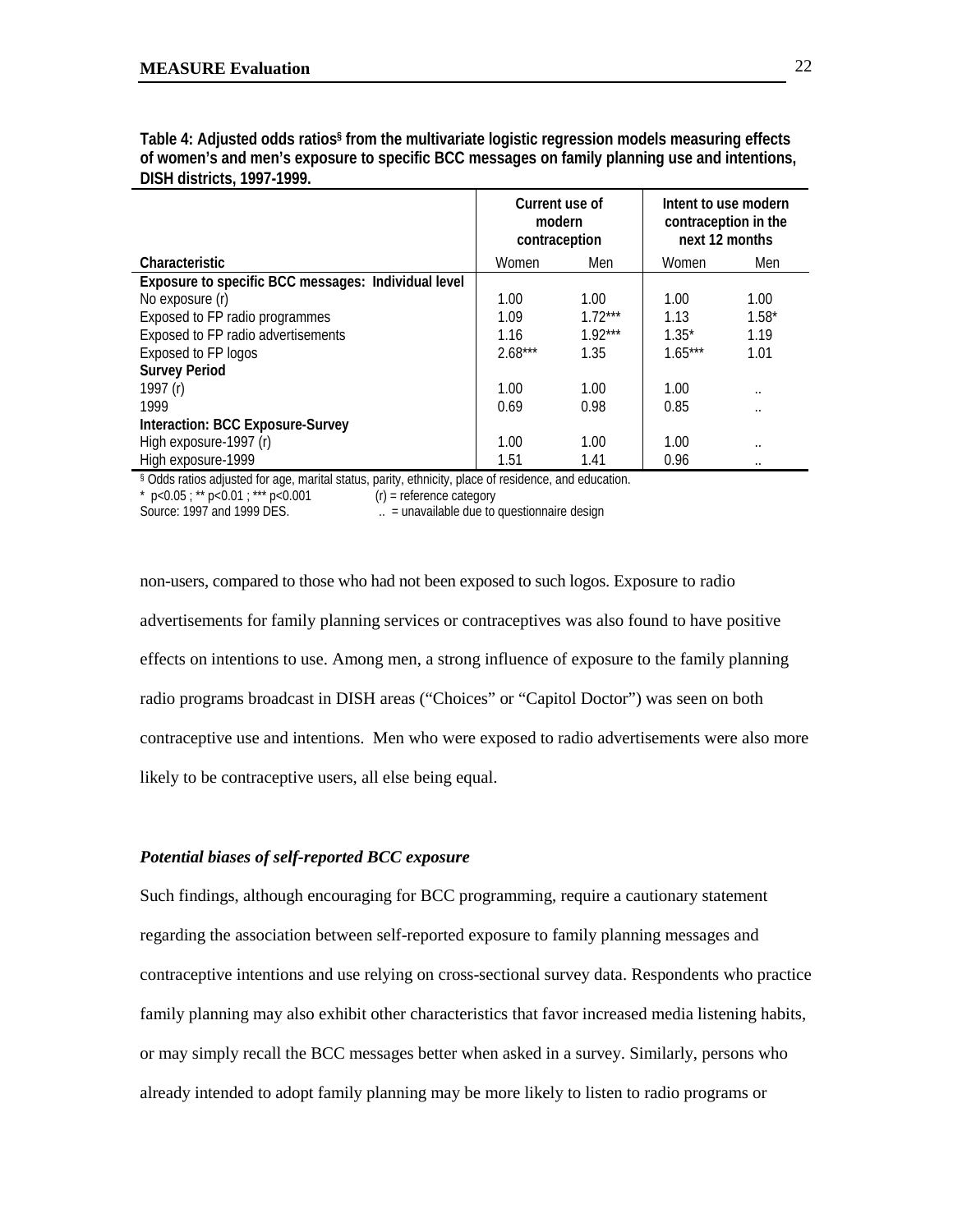| <b>DIJIT UIJU ILIJ, 1777-1777.</b>                  |                                           |           |                                                                |                      |
|-----------------------------------------------------|-------------------------------------------|-----------|----------------------------------------------------------------|----------------------|
|                                                     | Current use of<br>modern<br>contraception |           | Intent to use modern<br>contraception in the<br>next 12 months |                      |
| Characteristic                                      | Women                                     | Men       | Women                                                          | Men                  |
| Exposure to specific BCC messages: Individual level |                                           |           |                                                                |                      |
| No exposure (r)                                     | 1.00                                      | 1.00      | 1.00                                                           | 1.00                 |
| Exposed to FP radio programmes                      | 1.09                                      | $1.72***$ | 1.13                                                           | $1.58*$              |
| Exposed to FP radio advertisements                  | 1.16                                      | $1.92***$ | $1.35*$                                                        | 1.19                 |
| Exposed to FP logos                                 | $2.68***$                                 | 1.35      | $1.65***$                                                      | 1.01                 |
| <b>Survey Period</b>                                |                                           |           |                                                                |                      |
| 1997 (r)                                            | 1.00                                      | 1.00      | 1.00                                                           | $\cdot$ .            |
| 1999                                                | 0.69                                      | 0.98      | 0.85                                                           |                      |
| Interaction: BCC Exposure-Survey                    |                                           |           |                                                                |                      |
| High exposure-1997 (r)                              | 1.00                                      | 1.00      | 1.00                                                           | $\ddot{\phantom{0}}$ |
| High exposure-1999                                  | 1.51                                      | 1.41      | 0.96                                                           | $\cdot$ .            |

**Table 4: Adjusted odds ratios§ from the multivariate logistic regression models measuring effects of women's and men's exposure to specific BCC messages on family planning use and intentions, DISH districts, 1997-1999.**

§ Odds ratios adjusted for age, marital status, parity, ethnicity, place of residence, and education.<br>
\*  $p < 0.05$ ; \*\*  $p < 0.01$ ; \*\*\*  $p < 0.001$  (r) = reference category

\* p<0.05 ; \*\* p<0.01 ; \*\*\* p<0.001<br>Source: 1997 and 1999 DES.

 $\therefore$  = unavailable due to questionnaire design

non-users, compared to those who had not been exposed to such logos. Exposure to radio advertisements for family planning services or contraceptives was also found to have positive effects on intentions to use. Among men, a strong influence of exposure to the family planning radio programs broadcast in DISH areas ("Choices" or "Capitol Doctor") was seen on both contraceptive use and intentions. Men who were exposed to radio advertisements were also more likely to be contraceptive users, all else being equal.

### *Potential biases of self-reported BCC exposure*

Such findings, although encouraging for BCC programming, require a cautionary statement regarding the association between self-reported exposure to family planning messages and contraceptive intentions and use relying on cross-sectional survey data. Respondents who practice family planning may also exhibit other characteristics that favor increased media listening habits, or may simply recall the BCC messages better when asked in a survey. Similarly, persons who already intended to adopt family planning may be more likely to listen to radio programs or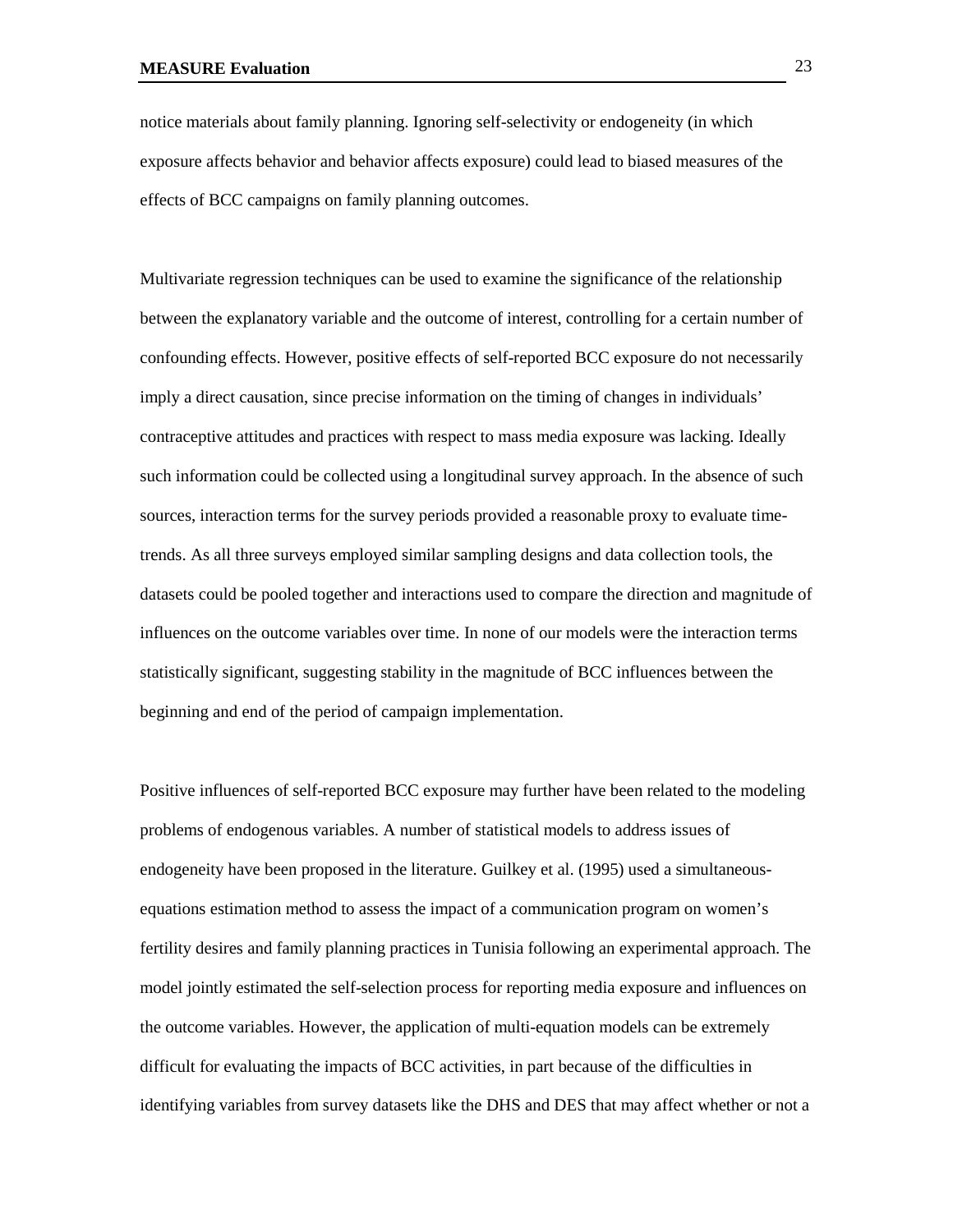notice materials about family planning. Ignoring self-selectivity or endogeneity (in which exposure affects behavior and behavior affects exposure) could lead to biased measures of the effects of BCC campaigns on family planning outcomes.

Multivariate regression techniques can be used to examine the significance of the relationship between the explanatory variable and the outcome of interest, controlling for a certain number of confounding effects. However, positive effects of self-reported BCC exposure do not necessarily imply a direct causation, since precise information on the timing of changes in individuals' contraceptive attitudes and practices with respect to mass media exposure was lacking. Ideally such information could be collected using a longitudinal survey approach. In the absence of such sources, interaction terms for the survey periods provided a reasonable proxy to evaluate timetrends. As all three surveys employed similar sampling designs and data collection tools, the datasets could be pooled together and interactions used to compare the direction and magnitude of influences on the outcome variables over time. In none of our models were the interaction terms statistically significant, suggesting stability in the magnitude of BCC influences between the beginning and end of the period of campaign implementation.

Positive influences of self-reported BCC exposure may further have been related to the modeling problems of endogenous variables. A number of statistical models to address issues of endogeneity have been proposed in the literature. Guilkey et al. (1995) used a simultaneousequations estimation method to assess the impact of a communication program on women's fertility desires and family planning practices in Tunisia following an experimental approach. The model jointly estimated the self-selection process for reporting media exposure and influences on the outcome variables. However, the application of multi-equation models can be extremely difficult for evaluating the impacts of BCC activities, in part because of the difficulties in identifying variables from survey datasets like the DHS and DES that may affect whether or not a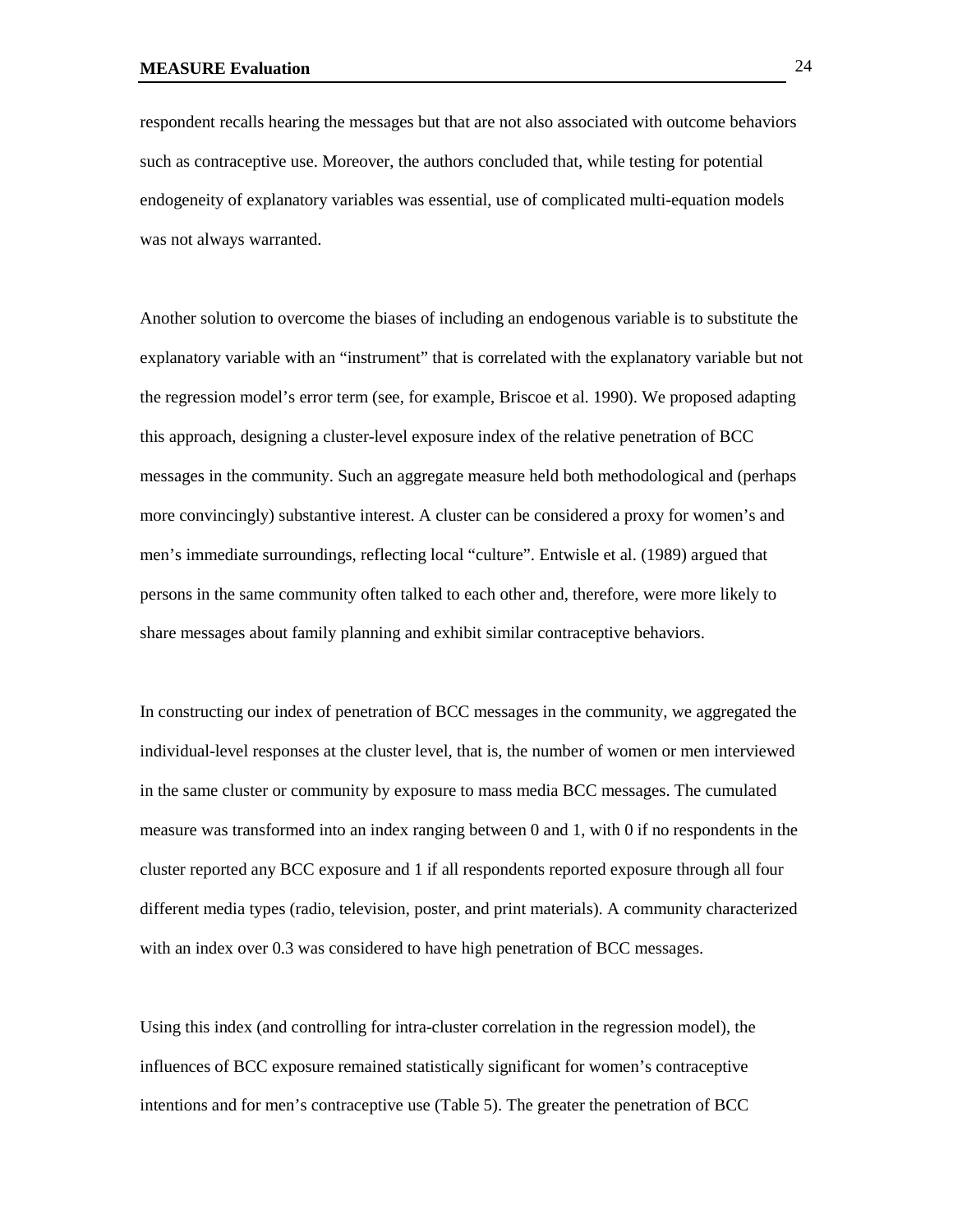respondent recalls hearing the messages but that are not also associated with outcome behaviors such as contraceptive use. Moreover, the authors concluded that, while testing for potential endogeneity of explanatory variables was essential, use of complicated multi-equation models was not always warranted.

Another solution to overcome the biases of including an endogenous variable is to substitute the explanatory variable with an "instrument" that is correlated with the explanatory variable but not the regression model's error term (see, for example, Briscoe et al. 1990). We proposed adapting this approach, designing a cluster-level exposure index of the relative penetration of BCC messages in the community. Such an aggregate measure held both methodological and (perhaps more convincingly) substantive interest. A cluster can be considered a proxy for women's and men's immediate surroundings, reflecting local "culture". Entwisle et al. (1989) argued that persons in the same community often talked to each other and, therefore, were more likely to share messages about family planning and exhibit similar contraceptive behaviors.

In constructing our index of penetration of BCC messages in the community, we aggregated the individual-level responses at the cluster level, that is, the number of women or men interviewed in the same cluster or community by exposure to mass media BCC messages. The cumulated measure was transformed into an index ranging between 0 and 1, with 0 if no respondents in the cluster reported any BCC exposure and 1 if all respondents reported exposure through all four different media types (radio, television, poster, and print materials). A community characterized with an index over 0.3 was considered to have high penetration of BCC messages.

Using this index (and controlling for intra-cluster correlation in the regression model), the influences of BCC exposure remained statistically significant for women's contraceptive intentions and for men's contraceptive use (Table 5). The greater the penetration of BCC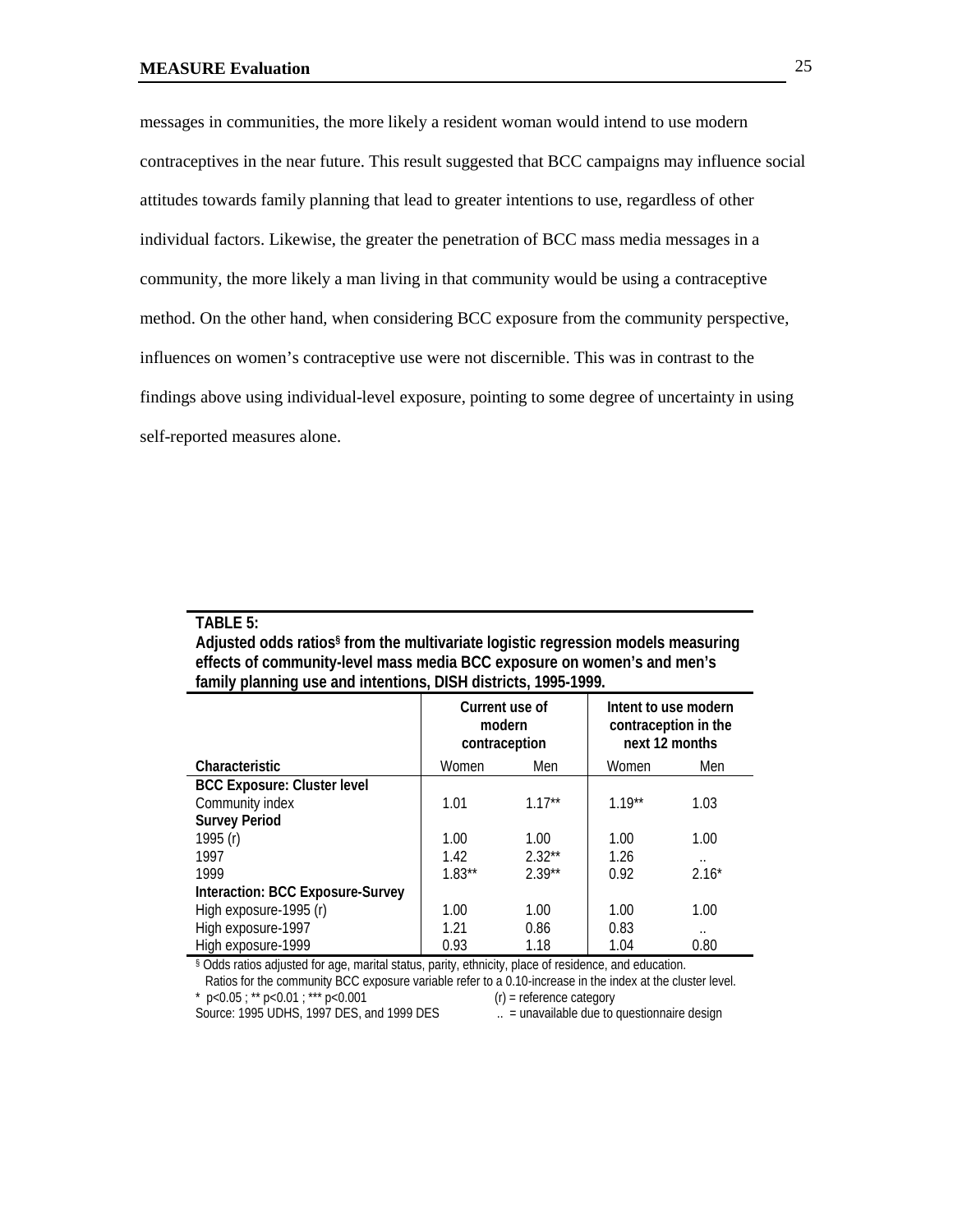messages in communities, the more likely a resident woman would intend to use modern contraceptives in the near future. This result suggested that BCC campaigns may influence social attitudes towards family planning that lead to greater intentions to use, regardless of other individual factors. Likewise, the greater the penetration of BCC mass media messages in a community, the more likely a man living in that community would be using a contraceptive method. On the other hand, when considering BCC exposure from the community perspective, influences on women's contraceptive use were not discernible. This was in contrast to the findings above using individual-level exposure, pointing to some degree of uncertainty in using self-reported measures alone.

### **TABLE 5:**

| Adjusted odds ratios <sup>§</sup> from the multivariate logistic regression models measuring |
|----------------------------------------------------------------------------------------------|
| effects of community-level mass media BCC exposure on women's and men's                      |
| family planning use and intentions, DISH districts, 1995-1999.                               |

|                                    | Current use of<br>modern<br>contraception |          | Intent to use modern<br>contraception in the<br>next 12 months |                      |
|------------------------------------|-------------------------------------------|----------|----------------------------------------------------------------|----------------------|
| Characteristic                     | Women                                     | Men      | Women                                                          | Men                  |
| <b>BCC Exposure: Cluster level</b> |                                           |          |                                                                |                      |
| Community index                    | 1.01                                      | $1.17**$ | $119**$                                                        | 1.03                 |
| <b>Survey Period</b>               |                                           |          |                                                                |                      |
| 1995 (r)                           | 1.00                                      | 1.00     | 1.00                                                           | 1.00                 |
| 1997                               | 1.42                                      | $2.32**$ | 1.26                                                           | $\cdot$ .            |
| 1999                               | $1.83**$                                  | $2.39**$ | 0.92                                                           | $2.16*$              |
| Interaction: BCC Exposure-Survey   |                                           |          |                                                                |                      |
| High exposure-1995 (r)             | 1.00                                      | 1.00     | 1.00                                                           | 1.00                 |
| High exposure-1997                 | 1.21                                      | 0.86     | 0.83                                                           | $\ddot{\phantom{a}}$ |
| High exposure-1999                 | 0.93                                      | 1.18     | 1.04                                                           | 0.80                 |

§ Odds ratios adjusted for age, marital status, parity, ethnicity, place of residence, and education.

 Ratios for the community BCC exposure variable refer to a 0.10-increase in the index at the cluster level. \*  $p < 0.05$ ; \*\*  $p < 0.01$ ; \*\*\*  $p < 0.001$ 

Source: 1995 UDHS, 1997 DES, and 1999 DES ... = unavailable due to questionnaire design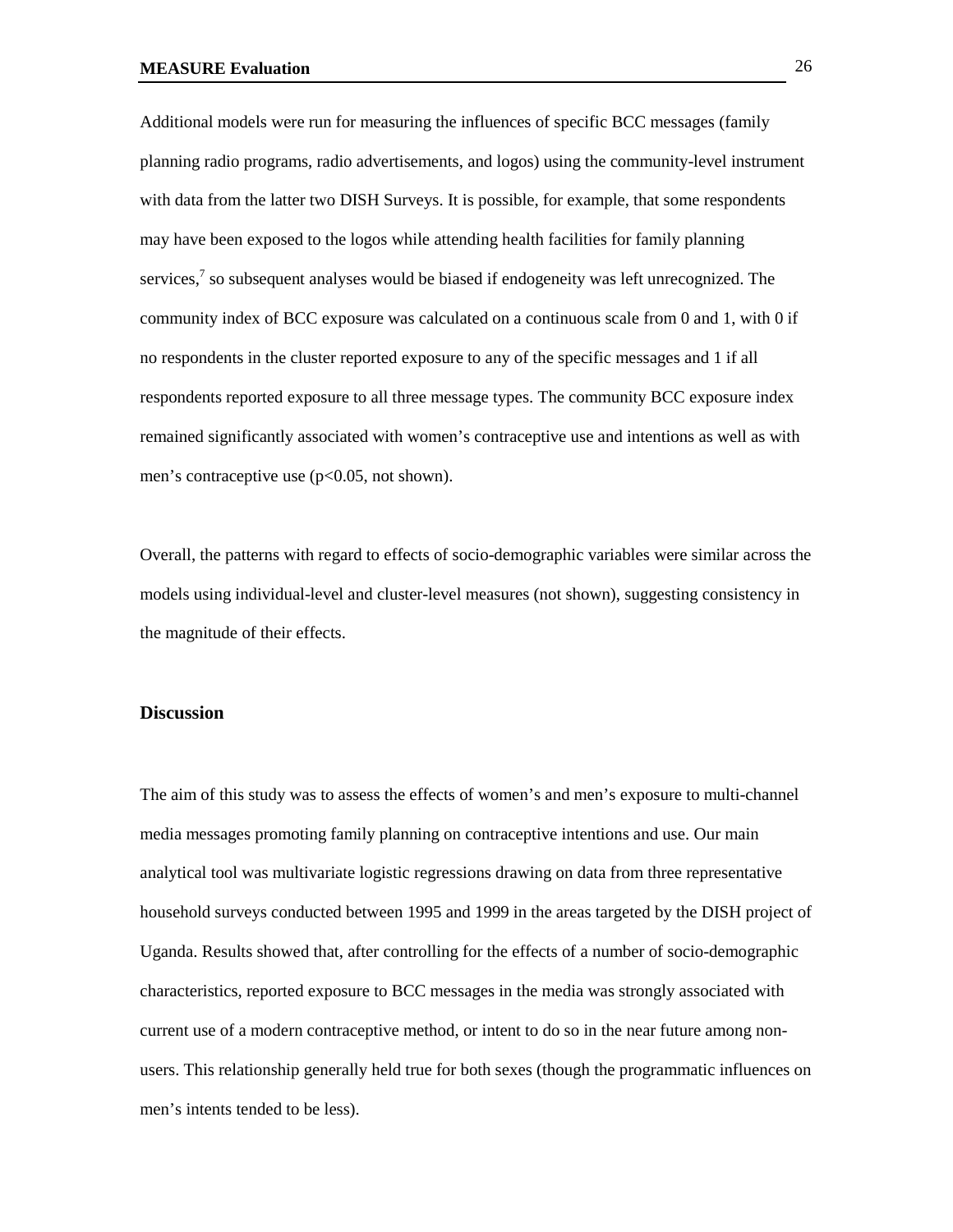Additional models were run for measuring the influences of specific BCC messages (family planning radio programs, radio advertisements, and logos) using the community-level instrument with data from the latter two DISH Surveys. It is possible, for example, that some respondents may have been exposed to the logos while attending health facilities for family planning services,<sup>7</sup> so subsequent analyses would be biased if endogeneity was left unrecognized. The community index of BCC exposure was calculated on a continuous scale from 0 and 1, with 0 if no respondents in the cluster reported exposure to any of the specific messages and 1 if all respondents reported exposure to all three message types. The community BCC exposure index remained significantly associated with women's contraceptive use and intentions as well as with men's contraceptive use (p<0.05, not shown).

Overall, the patterns with regard to effects of socio-demographic variables were similar across the models using individual-level and cluster-level measures (not shown), suggesting consistency in the magnitude of their effects.

#### **Discussion**

The aim of this study was to assess the effects of women's and men's exposure to multi-channel media messages promoting family planning on contraceptive intentions and use. Our main analytical tool was multivariate logistic regressions drawing on data from three representative household surveys conducted between 1995 and 1999 in the areas targeted by the DISH project of Uganda. Results showed that, after controlling for the effects of a number of socio-demographic characteristics, reported exposure to BCC messages in the media was strongly associated with current use of a modern contraceptive method, or intent to do so in the near future among nonusers. This relationship generally held true for both sexes (though the programmatic influences on men's intents tended to be less).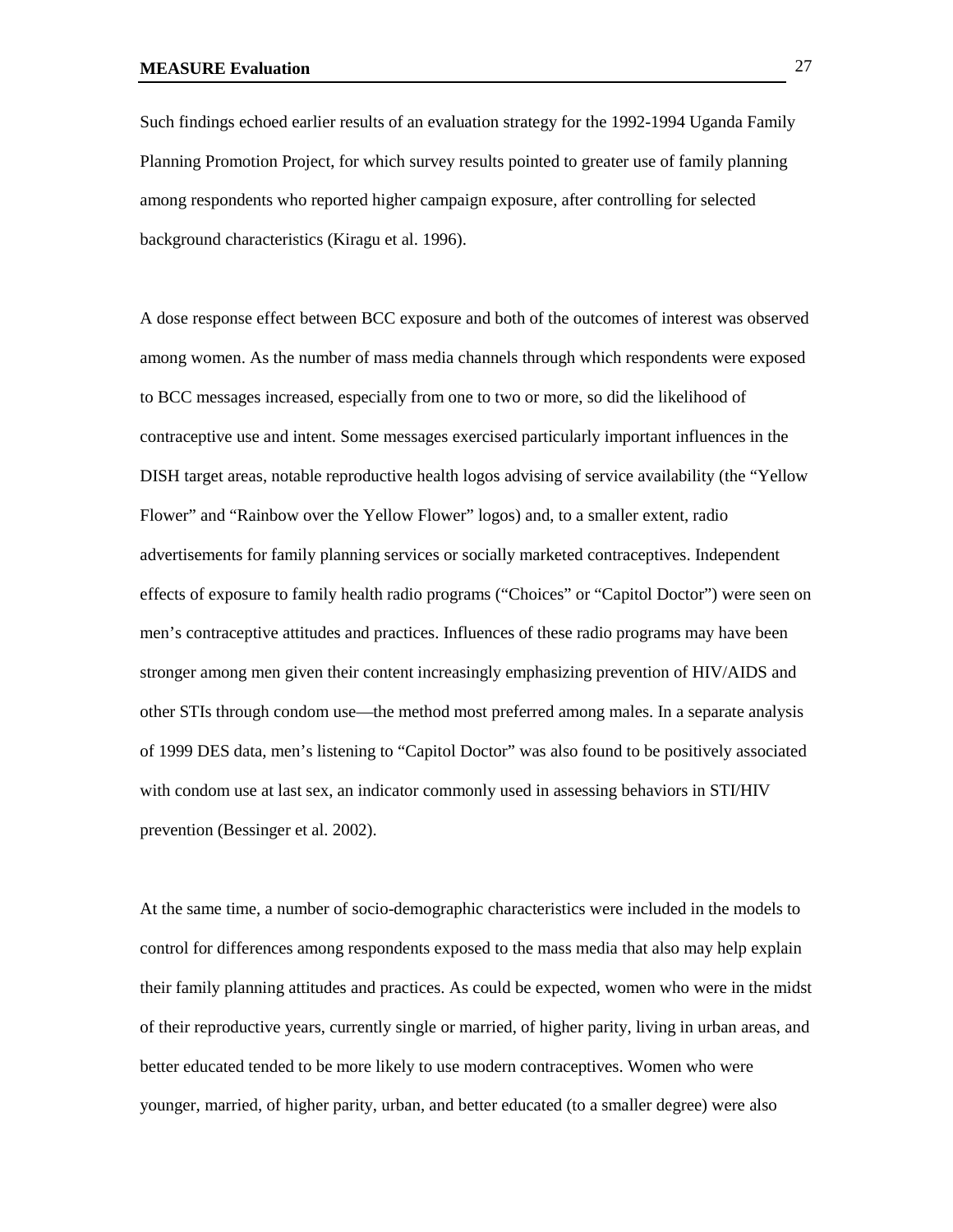Such findings echoed earlier results of an evaluation strategy for the 1992-1994 Uganda Family Planning Promotion Project, for which survey results pointed to greater use of family planning among respondents who reported higher campaign exposure, after controlling for selected background characteristics (Kiragu et al. 1996).

A dose response effect between BCC exposure and both of the outcomes of interest was observed among women. As the number of mass media channels through which respondents were exposed to BCC messages increased, especially from one to two or more, so did the likelihood of contraceptive use and intent. Some messages exercised particularly important influences in the DISH target areas, notable reproductive health logos advising of service availability (the "Yellow Flower" and "Rainbow over the Yellow Flower" logos) and, to a smaller extent, radio advertisements for family planning services or socially marketed contraceptives. Independent effects of exposure to family health radio programs ("Choices" or "Capitol Doctor") were seen on men's contraceptive attitudes and practices. Influences of these radio programs may have been stronger among men given their content increasingly emphasizing prevention of HIV/AIDS and other STIs through condom use—the method most preferred among males. In a separate analysis of 1999 DES data, men's listening to "Capitol Doctor" was also found to be positively associated with condom use at last sex, an indicator commonly used in assessing behaviors in STI/HIV prevention (Bessinger et al. 2002).

At the same time, a number of socio-demographic characteristics were included in the models to control for differences among respondents exposed to the mass media that also may help explain their family planning attitudes and practices. As could be expected, women who were in the midst of their reproductive years, currently single or married, of higher parity, living in urban areas, and better educated tended to be more likely to use modern contraceptives. Women who were younger, married, of higher parity, urban, and better educated (to a smaller degree) were also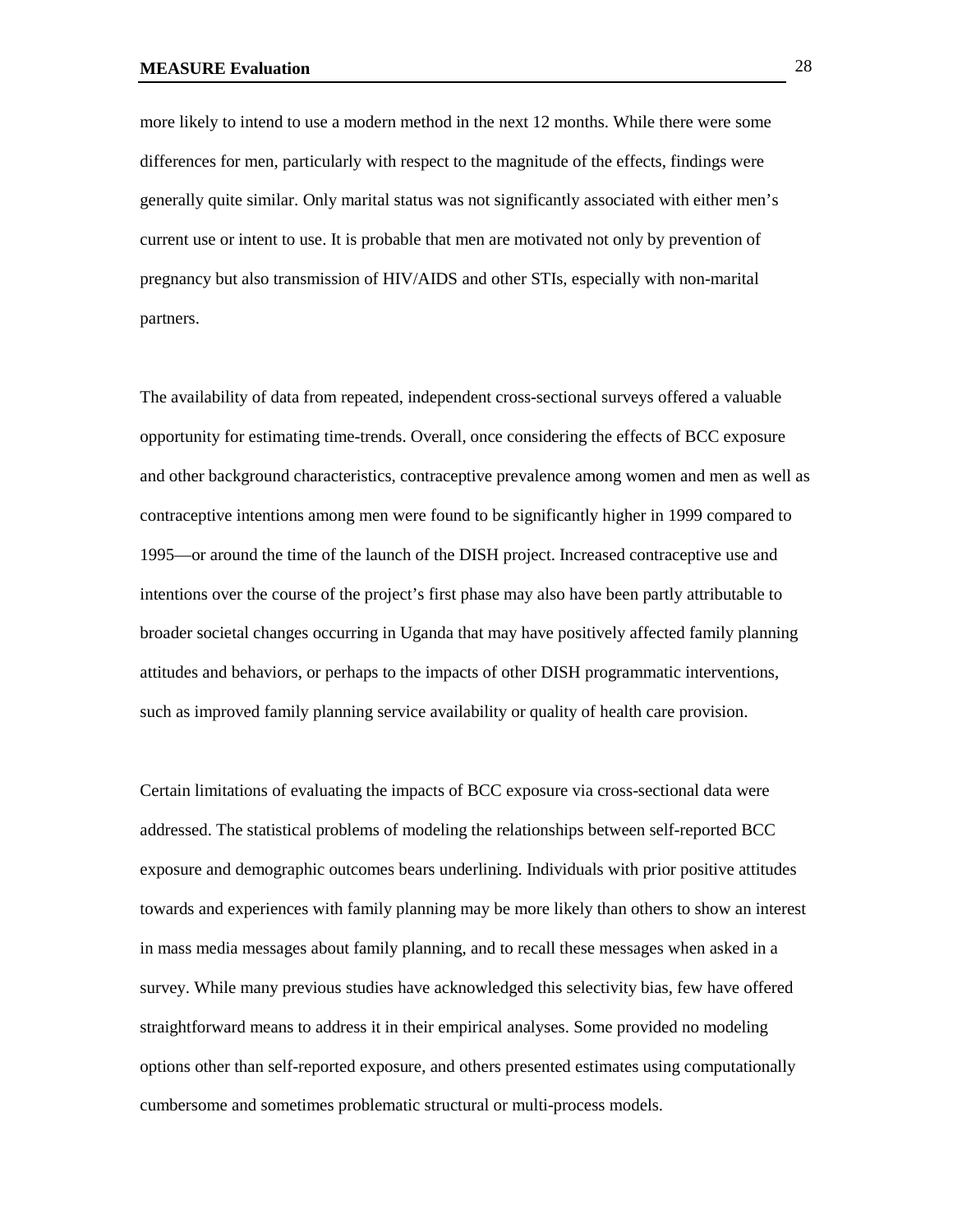more likely to intend to use a modern method in the next 12 months. While there were some differences for men, particularly with respect to the magnitude of the effects, findings were generally quite similar. Only marital status was not significantly associated with either men's current use or intent to use. It is probable that men are motivated not only by prevention of pregnancy but also transmission of HIV/AIDS and other STIs, especially with non-marital partners.

The availability of data from repeated, independent cross-sectional surveys offered a valuable opportunity for estimating time-trends. Overall, once considering the effects of BCC exposure and other background characteristics, contraceptive prevalence among women and men as well as contraceptive intentions among men were found to be significantly higher in 1999 compared to 1995—or around the time of the launch of the DISH project. Increased contraceptive use and intentions over the course of the project's first phase may also have been partly attributable to broader societal changes occurring in Uganda that may have positively affected family planning attitudes and behaviors, or perhaps to the impacts of other DISH programmatic interventions, such as improved family planning service availability or quality of health care provision.

Certain limitations of evaluating the impacts of BCC exposure via cross-sectional data were addressed. The statistical problems of modeling the relationships between self-reported BCC exposure and demographic outcomes bears underlining. Individuals with prior positive attitudes towards and experiences with family planning may be more likely than others to show an interest in mass media messages about family planning, and to recall these messages when asked in a survey. While many previous studies have acknowledged this selectivity bias, few have offered straightforward means to address it in their empirical analyses. Some provided no modeling options other than self-reported exposure, and others presented estimates using computationally cumbersome and sometimes problematic structural or multi-process models.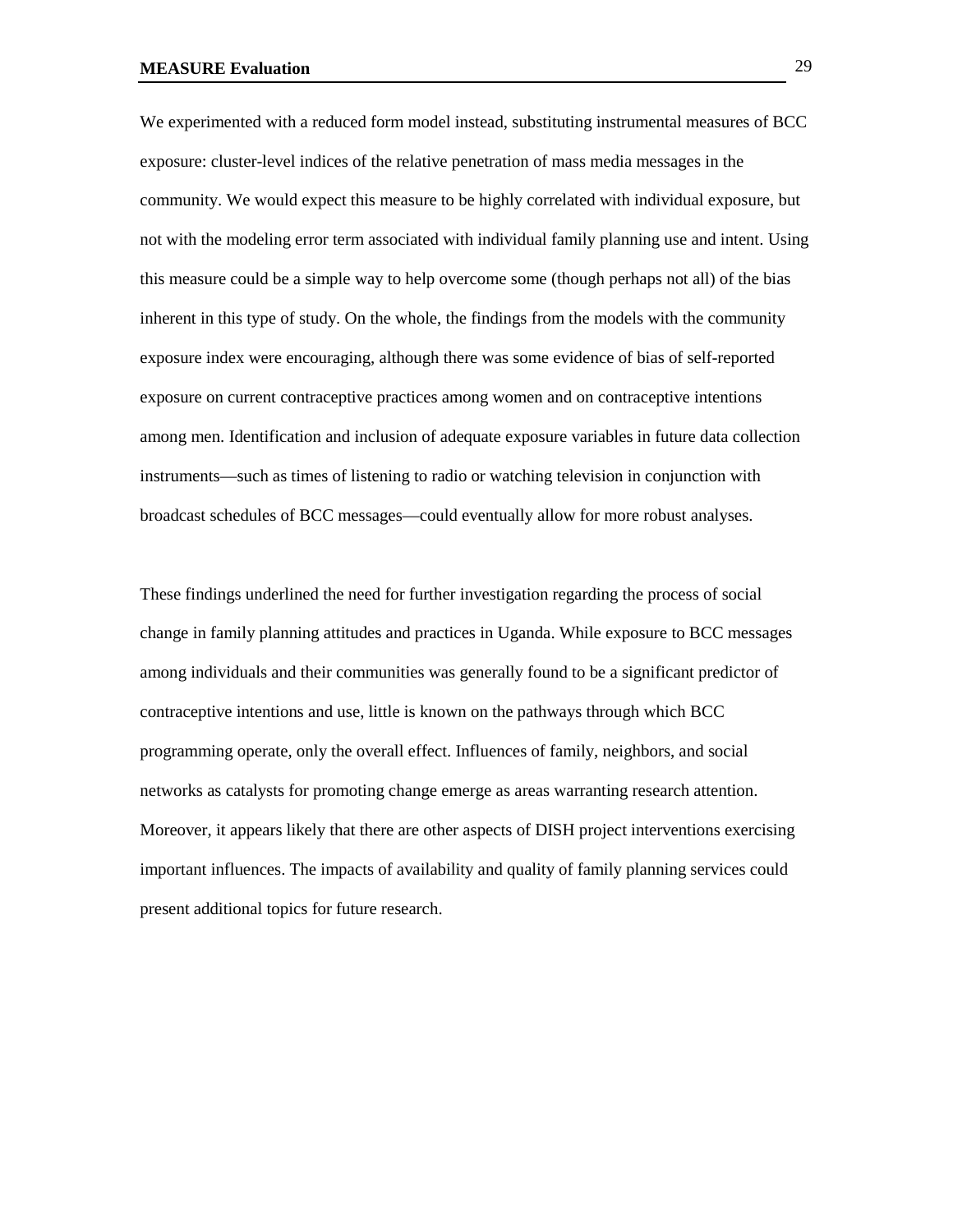We experimented with a reduced form model instead, substituting instrumental measures of BCC exposure: cluster-level indices of the relative penetration of mass media messages in the community. We would expect this measure to be highly correlated with individual exposure, but not with the modeling error term associated with individual family planning use and intent. Using this measure could be a simple way to help overcome some (though perhaps not all) of the bias inherent in this type of study. On the whole, the findings from the models with the community exposure index were encouraging, although there was some evidence of bias of self-reported exposure on current contraceptive practices among women and on contraceptive intentions among men. Identification and inclusion of adequate exposure variables in future data collection instruments—such as times of listening to radio or watching television in conjunction with broadcast schedules of BCC messages—could eventually allow for more robust analyses.

These findings underlined the need for further investigation regarding the process of social change in family planning attitudes and practices in Uganda. While exposure to BCC messages among individuals and their communities was generally found to be a significant predictor of contraceptive intentions and use, little is known on the pathways through which BCC programming operate, only the overall effect. Influences of family, neighbors, and social networks as catalysts for promoting change emerge as areas warranting research attention. Moreover, it appears likely that there are other aspects of DISH project interventions exercising important influences. The impacts of availability and quality of family planning services could present additional topics for future research.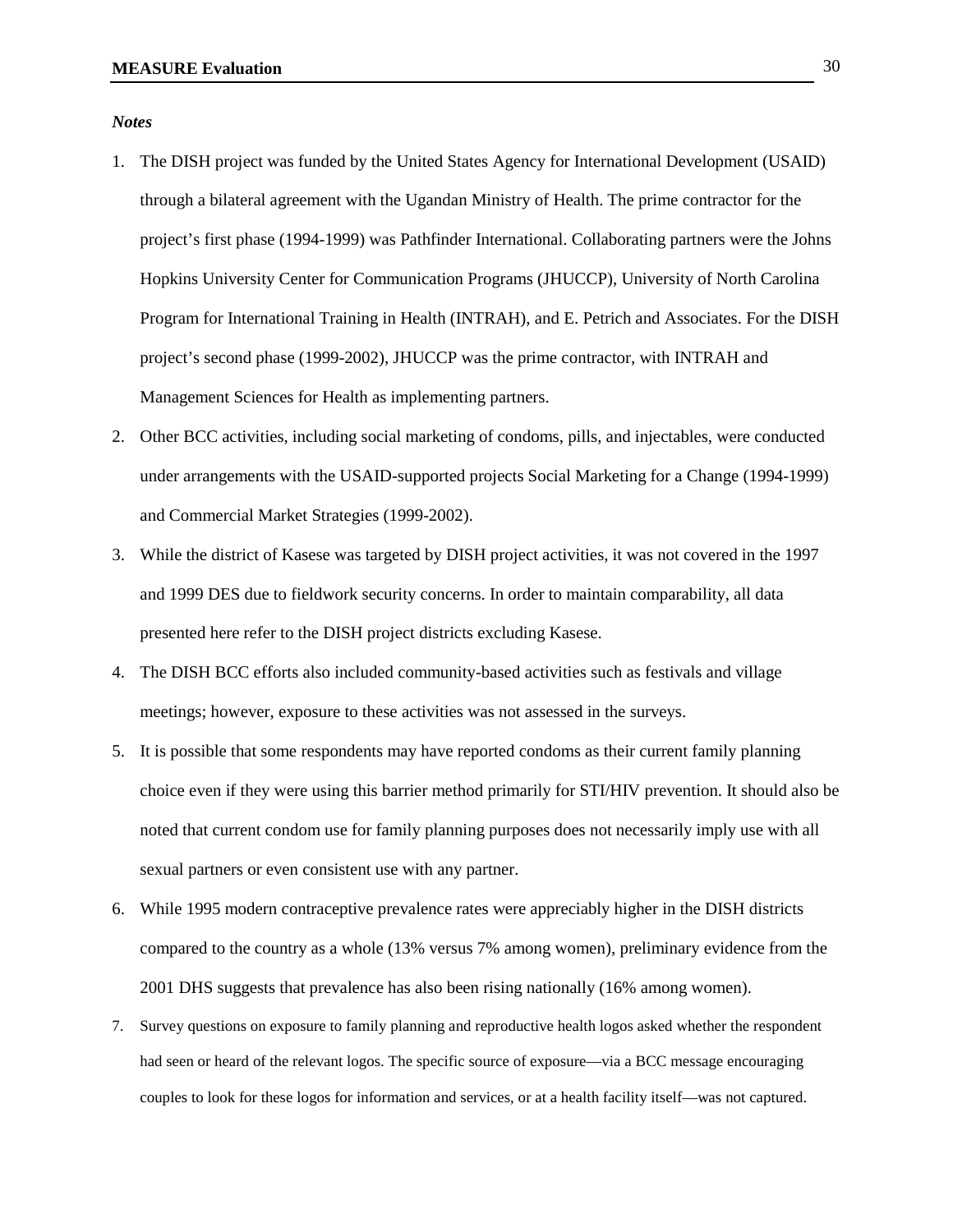*Notes*

- 1. The DISH project was funded by the United States Agency for International Development (USAID) through a bilateral agreement with the Ugandan Ministry of Health. The prime contractor for the project's first phase (1994-1999) was Pathfinder International. Collaborating partners were the Johns Hopkins University Center for Communication Programs (JHUCCP), University of North Carolina Program for International Training in Health (INTRAH), and E. Petrich and Associates. For the DISH project's second phase (1999-2002), JHUCCP was the prime contractor, with INTRAH and Management Sciences for Health as implementing partners.
- 2. Other BCC activities, including social marketing of condoms, pills, and injectables, were conducted under arrangements with the USAID-supported projects Social Marketing for a Change (1994-1999) and Commercial Market Strategies (1999-2002).
- 3. While the district of Kasese was targeted by DISH project activities, it was not covered in the 1997 and 1999 DES due to fieldwork security concerns. In order to maintain comparability, all data presented here refer to the DISH project districts excluding Kasese.
- 4. The DISH BCC efforts also included community-based activities such as festivals and village meetings; however, exposure to these activities was not assessed in the surveys.
- 5. It is possible that some respondents may have reported condoms as their current family planning choice even if they were using this barrier method primarily for STI/HIV prevention. It should also be noted that current condom use for family planning purposes does not necessarily imply use with all sexual partners or even consistent use with any partner.
- 6. While 1995 modern contraceptive prevalence rates were appreciably higher in the DISH districts compared to the country as a whole (13% versus 7% among women), preliminary evidence from the 2001 DHS suggests that prevalence has also been rising nationally (16% among women).
- 7. Survey questions on exposure to family planning and reproductive health logos asked whether the respondent had seen or heard of the relevant logos. The specific source of exposure—via a BCC message encouraging couples to look for these logos for information and services, or at a health facility itself—was not captured.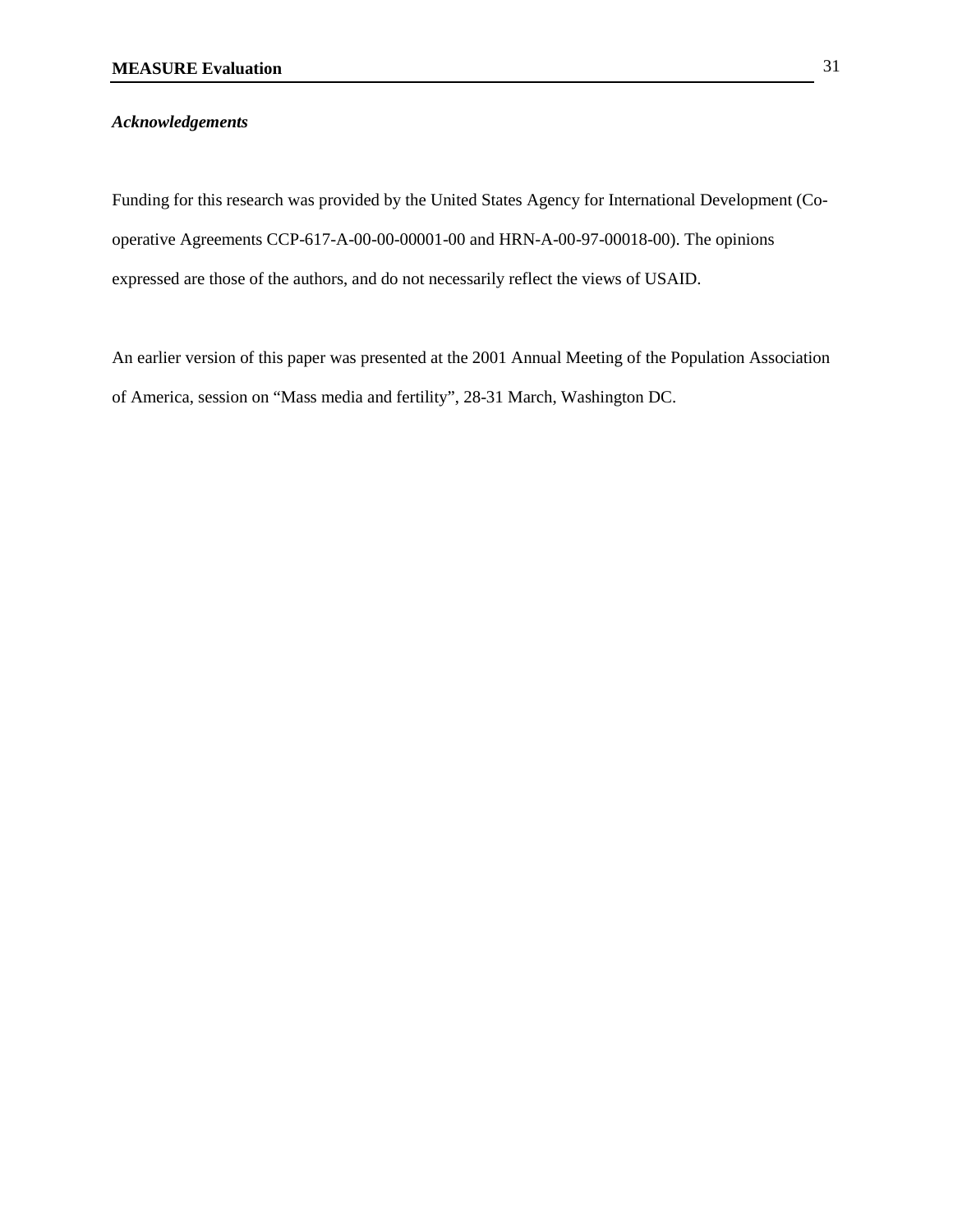## *Acknowledgements*

Funding for this research was provided by the United States Agency for International Development (Cooperative Agreements CCP-617-A-00-00-00001-00 and HRN-A-00-97-00018-00). The opinions expressed are those of the authors, and do not necessarily reflect the views of USAID.

An earlier version of this paper was presented at the 2001 Annual Meeting of the Population Association of America, session on "Mass media and fertility", 28-31 March, Washington DC.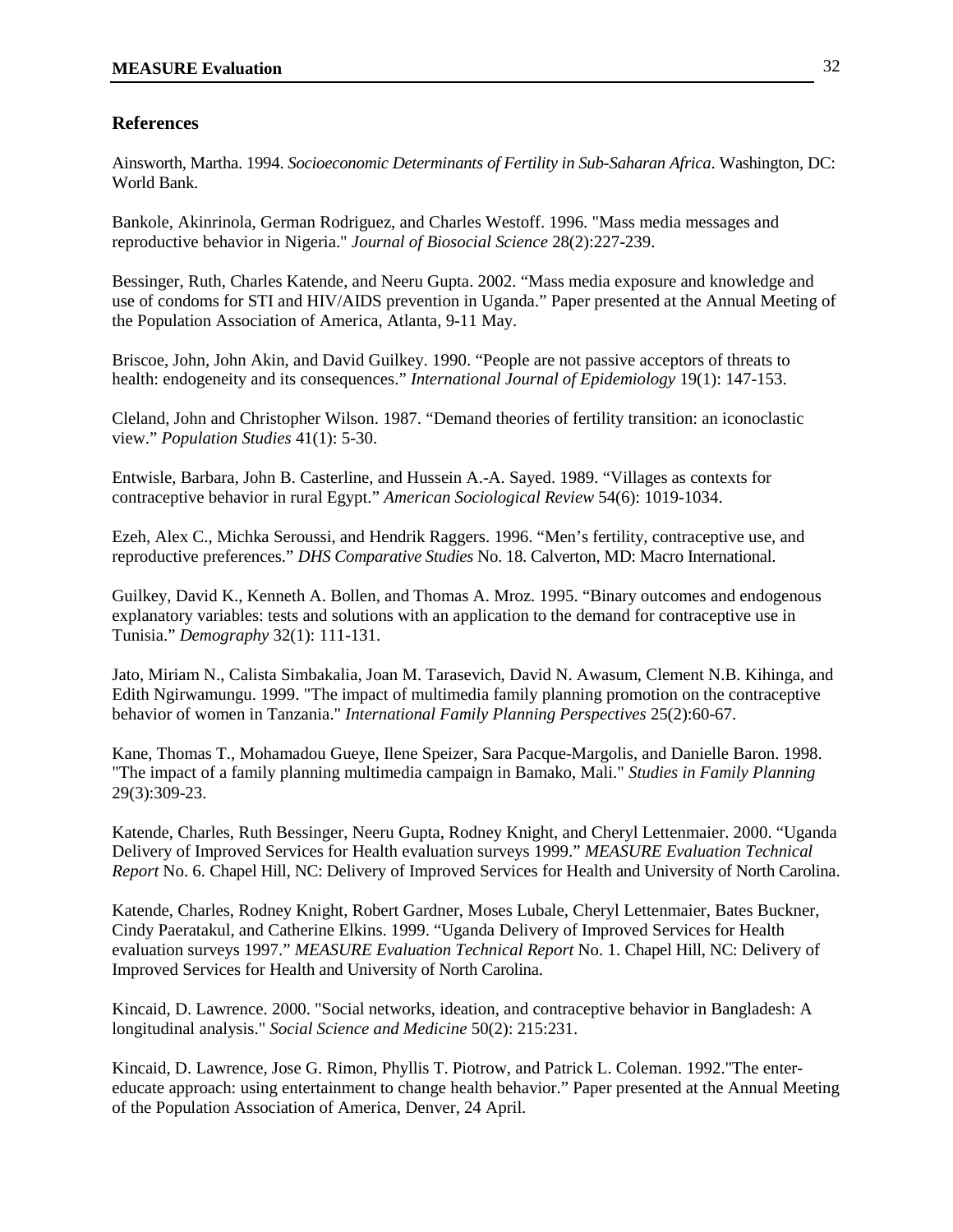## **References**

Ainsworth, Martha. 1994. *Socioeconomic Determinants of Fertility in Sub-Saharan Africa*. Washington, DC: World Bank.

Bankole, Akinrinola, German Rodriguez, and Charles Westoff. 1996. "Mass media messages and reproductive behavior in Nigeria." *Journal of Biosocial Science* 28(2):227-239.

Bessinger, Ruth, Charles Katende, and Neeru Gupta. 2002. "Mass media exposure and knowledge and use of condoms for STI and HIV/AIDS prevention in Uganda." Paper presented at the Annual Meeting of the Population Association of America, Atlanta, 9-11 May.

Briscoe, John, John Akin, and David Guilkey. 1990. "People are not passive acceptors of threats to health: endogeneity and its consequences." *International Journal of Epidemiology* 19(1): 147-153.

Cleland, John and Christopher Wilson. 1987. "Demand theories of fertility transition: an iconoclastic view." *Population Studies* 41(1): 5-30.

Entwisle, Barbara, John B. Casterline, and Hussein A.-A. Sayed. 1989. "Villages as contexts for contraceptive behavior in rural Egypt." *American Sociological Review* 54(6): 1019-1034.

Ezeh, Alex C., Michka Seroussi, and Hendrik Raggers. 1996. "Men's fertility, contraceptive use, and reproductive preferences." *DHS Comparative Studies* No. 18. Calverton, MD: Macro International.

Guilkey, David K., Kenneth A. Bollen, and Thomas A. Mroz. 1995. "Binary outcomes and endogenous explanatory variables: tests and solutions with an application to the demand for contraceptive use in Tunisia." *Demography* 32(1): 111-131.

Jato, Miriam N., Calista Simbakalia, Joan M. Tarasevich, David N. Awasum, Clement N.B. Kihinga, and Edith Ngirwamungu. 1999. "The impact of multimedia family planning promotion on the contraceptive behavior of women in Tanzania." *International Family Planning Perspectives* 25(2):60-67.

Kane, Thomas T., Mohamadou Gueye, Ilene Speizer, Sara Pacque-Margolis, and Danielle Baron. 1998. "The impact of a family planning multimedia campaign in Bamako, Mali." *Studies in Family Planning* 29(3):309-23.

Katende, Charles, Ruth Bessinger, Neeru Gupta, Rodney Knight, and Cheryl Lettenmaier. 2000. "Uganda Delivery of Improved Services for Health evaluation surveys 1999." *MEASURE Evaluation Technical Report* No. 6. Chapel Hill, NC: Delivery of Improved Services for Health and University of North Carolina.

Katende, Charles, Rodney Knight, Robert Gardner, Moses Lubale, Cheryl Lettenmaier, Bates Buckner, Cindy Paeratakul, and Catherine Elkins. 1999. "Uganda Delivery of Improved Services for Health evaluation surveys 1997." *MEASURE Evaluation Technical Report* No. 1. Chapel Hill, NC: Delivery of Improved Services for Health and University of North Carolina.

Kincaid, D. Lawrence. 2000. "Social networks, ideation, and contraceptive behavior in Bangladesh: A longitudinal analysis." *Social Science and Medicine* 50(2): 215:231.

Kincaid, D. Lawrence, Jose G. Rimon, Phyllis T. Piotrow, and Patrick L. Coleman. 1992."The entereducate approach: using entertainment to change health behavior." Paper presented at the Annual Meeting of the Population Association of America, Denver, 24 April.